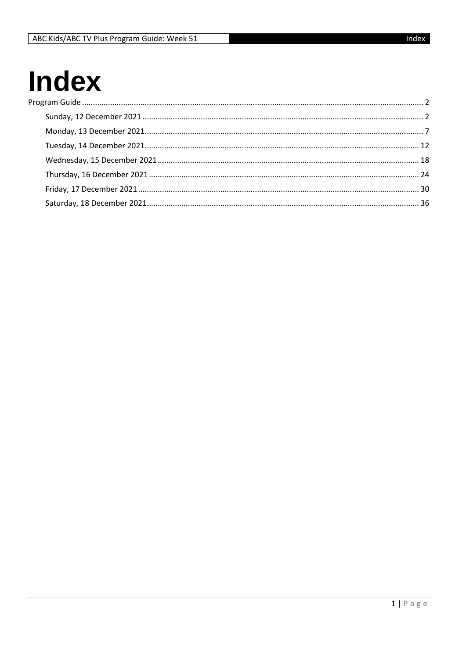## **Index** Pro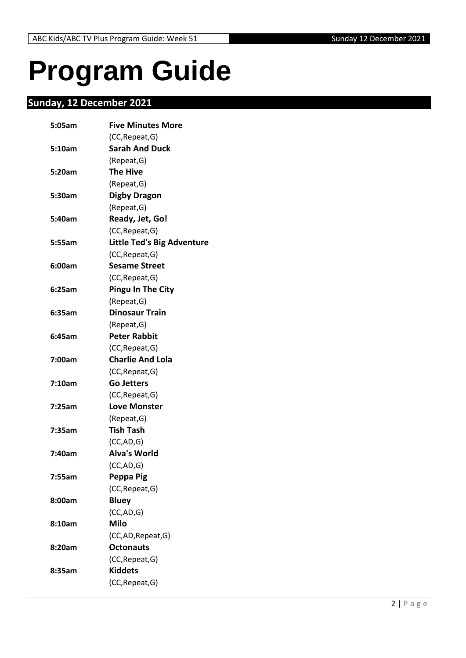# <span id="page-1-0"></span>**Program Guide**

## <span id="page-1-1"></span>**Sunday, 12 December 2021**

| 5:05am | <b>Five Minutes More</b>          |
|--------|-----------------------------------|
|        | (CC, Repeat, G)                   |
| 5:10am | <b>Sarah And Duck</b>             |
|        | (Repeat, G)                       |
| 5:20am | <b>The Hive</b>                   |
|        | (Repeat, G)                       |
| 5:30am | <b>Digby Dragon</b>               |
|        | (Repeat, G)                       |
| 5:40am | Ready, Jet, Go!                   |
|        | (CC, Repeat, G)                   |
| 5:55am | <b>Little Ted's Big Adventure</b> |
|        | (CC, Repeat, G)                   |
| 6:00am | <b>Sesame Street</b>              |
|        | (CC, Repeat, G)                   |
| 6:25am | <b>Pingu In The City</b>          |
|        | (Repeat, G)                       |
| 6:35am | <b>Dinosaur Train</b>             |
|        | (Repeat, G)                       |
| 6:45am | <b>Peter Rabbit</b>               |
|        | (CC, Repeat, G)                   |
| 7:00am | <b>Charlie And Lola</b>           |
|        | (CC, Repeat, G)                   |
| 7:10am | <b>Go Jetters</b>                 |
|        | (CC, Repeat, G)                   |
| 7:25am | <b>Love Monster</b>               |
|        | (Repeat, G)                       |
| 7:35am | <b>Tish Tash</b>                  |
|        | (CC, AD, G)                       |
| 7:40am | <b>Alva's World</b>               |
|        | (CC, AD, G)                       |
| 7:55am | <b>Peppa Pig</b>                  |
|        | (CC, Repeat, G)                   |
| 8:00am | <b>Bluey</b>                      |
|        | (CC,AD,G)                         |
| 8:10am | <b>Milo</b>                       |
|        | (CC,AD, Repeat, G)                |
| 8:20am | <b>Octonauts</b>                  |
|        | (CC, Repeat, G)                   |
| 8:35am | <b>Kiddets</b>                    |
|        | (CC, Repeat, G)                   |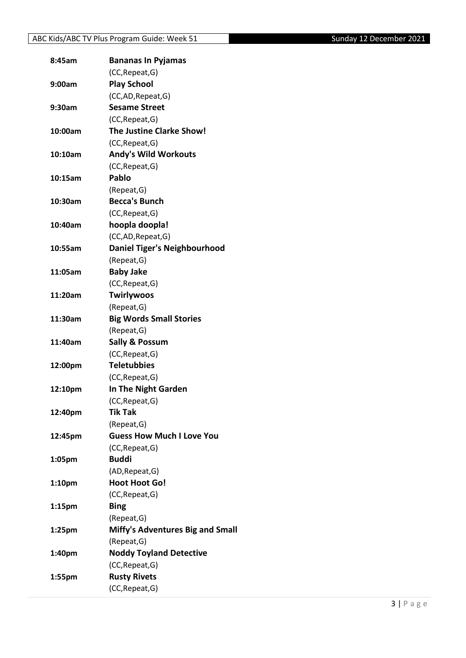| 8:45am             | <b>Bananas In Pyjamas</b>               |
|--------------------|-----------------------------------------|
|                    | (CC, Repeat, G)                         |
| 9:00am             | <b>Play School</b>                      |
|                    | (CC,AD, Repeat, G)                      |
| 9:30am             | <b>Sesame Street</b>                    |
|                    | (CC, Repeat, G)                         |
| 10:00am            | <b>The Justine Clarke Show!</b>         |
|                    | (CC, Repeat, G)                         |
| 10:10am            | <b>Andy's Wild Workouts</b>             |
|                    | (CC, Repeat, G)                         |
| 10:15am            | Pablo                                   |
|                    | (Repeat, G)                             |
| 10:30am            | <b>Becca's Bunch</b>                    |
|                    | (CC, Repeat, G)                         |
| 10:40am            | hoopla doopla!                          |
|                    | (CC,AD, Repeat, G)                      |
| 10:55am            | <b>Daniel Tiger's Neighbourhood</b>     |
|                    | (Repeat, G)                             |
| 11:05am            | <b>Baby Jake</b>                        |
|                    | (CC, Repeat, G)                         |
| 11:20am            | <b>Twirlywoos</b>                       |
|                    | (Repeat, G)                             |
| 11:30am            | <b>Big Words Small Stories</b>          |
|                    | (Repeat, G)                             |
| 11:40am            | <b>Sally &amp; Possum</b>               |
|                    | (CC, Repeat, G)                         |
| 12:00pm            | <b>Teletubbies</b>                      |
|                    | (CC, Repeat, G)                         |
| 12:10pm            | In The Night Garden                     |
|                    | (CC, Repeat, G)                         |
| 12:40pm            | <b>Tik Tak</b>                          |
|                    | (Repeat, G)                             |
| 12:45pm            | <b>Guess How Much I Love You</b>        |
|                    | (CC, Repeat, G)                         |
| 1:05pm             | <b>Buddi</b>                            |
|                    | (AD, Repeat, G)                         |
| 1:10pm             | <b>Hoot Hoot Go!</b>                    |
|                    | (CC, Repeat, G)                         |
| 1:15pm             | <b>Bing</b>                             |
|                    | (Repeat, G)                             |
| 1:25 <sub>pm</sub> | <b>Miffy's Adventures Big and Small</b> |
|                    | (Repeat, G)                             |
| 1:40pm             | <b>Noddy Toyland Detective</b>          |
|                    | (CC, Repeat, G)                         |
| 1:55pm             | <b>Rusty Rivets</b>                     |
|                    | (CC, Repeat, G)                         |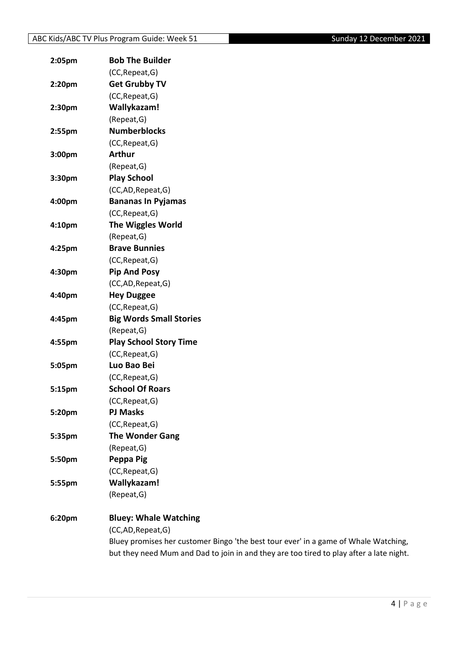| 2:05pm | <b>Bob The Builder</b>         |
|--------|--------------------------------|
|        | (CC, Repeat, G)                |
| 2:20pm | <b>Get Grubby TV</b>           |
|        | (CC, Repeat, G)                |
| 2:30pm | Wallykazam!                    |
|        | (Repeat, G)                    |
| 2:55pm | <b>Numberblocks</b>            |
|        | (CC, Repeat, G)                |
| 3:00pm | <b>Arthur</b>                  |
|        | (Repeat, G)                    |
| 3:30pm | <b>Play School</b>             |
|        | (CC,AD, Repeat, G)             |
| 4:00pm | <b>Bananas In Pyjamas</b>      |
|        | (CC, Repeat, G)                |
| 4:10pm | <b>The Wiggles World</b>       |
|        | (Repeat, G)                    |
| 4:25pm | <b>Brave Bunnies</b>           |
|        | (CC, Repeat, G)                |
| 4:30pm | <b>Pip And Posy</b>            |
|        | (CC,AD, Repeat, G)             |
| 4:40pm | <b>Hey Duggee</b>              |
|        | (CC, Repeat, G)                |
| 4:45pm | <b>Big Words Small Stories</b> |
|        | (Repeat, G)                    |
| 4:55pm | <b>Play School Story Time</b>  |
|        | (CC, Repeat, G)                |
| 5:05pm | Luo Bao Bei                    |
|        | (CC, Repeat, G)                |
| 5:15pm | <b>School Of Roars</b>         |
|        | (CC, Repeat, G)                |
| 5:20pm | <b>PJ Masks</b>                |
|        | (CC, Repeat, G)                |
| 5:35pm | <b>The Wonder Gang</b>         |
|        | (Repeat,G)                     |
| 5:50pm | Peppa Pig                      |
|        | (CC, Repeat, G)                |
| 5:55pm | Wallykazam!                    |
|        | (Repeat, G)                    |
| 6:20pm | <b>Bluey: Whale Watching</b>   |

(CC,AD,Repeat,G) Bluey promises her customer Bingo 'the best tour ever' in a game of Whale Watching, but they need Mum and Dad to join in and they are too tired to play after a late night.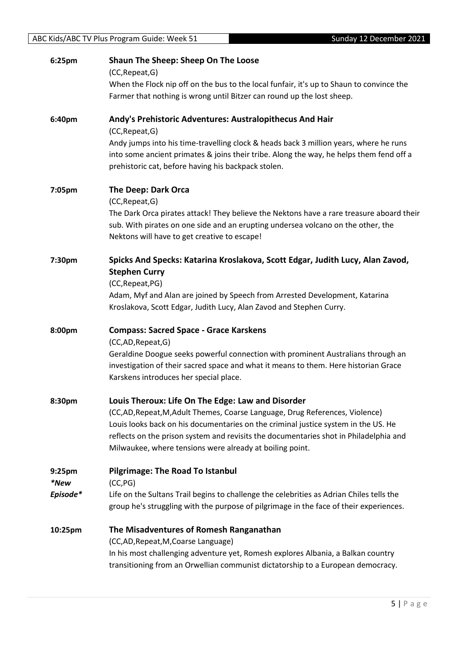| 6:25pm         | Shaun The Sheep: Sheep On The Loose<br>(CC, Repeat, G)                                                                                                                                                                                                                                                                  |
|----------------|-------------------------------------------------------------------------------------------------------------------------------------------------------------------------------------------------------------------------------------------------------------------------------------------------------------------------|
|                | When the Flock nip off on the bus to the local funfair, it's up to Shaun to convince the<br>Farmer that nothing is wrong until Bitzer can round up the lost sheep.                                                                                                                                                      |
| 6:40pm         | Andy's Prehistoric Adventures: Australopithecus And Hair<br>(CC, Repeat, G)                                                                                                                                                                                                                                             |
|                | Andy jumps into his time-travelling clock & heads back 3 million years, where he runs<br>into some ancient primates & joins their tribe. Along the way, he helps them fend off a<br>prehistoric cat, before having his backpack stolen.                                                                                 |
| 7:05pm         | The Deep: Dark Orca<br>(CC, Repeat, G)                                                                                                                                                                                                                                                                                  |
|                | The Dark Orca pirates attack! They believe the Nektons have a rare treasure aboard their<br>sub. With pirates on one side and an erupting undersea volcano on the other, the<br>Nektons will have to get creative to escape!                                                                                            |
| 7:30pm         | Spicks And Specks: Katarina Kroslakova, Scott Edgar, Judith Lucy, Alan Zavod,<br><b>Stephen Curry</b>                                                                                                                                                                                                                   |
|                | (CC, Repeat, PG)<br>Adam, Myf and Alan are joined by Speech from Arrested Development, Katarina<br>Kroslakova, Scott Edgar, Judith Lucy, Alan Zavod and Stephen Curry.                                                                                                                                                  |
| 8:00pm         | <b>Compass: Sacred Space - Grace Karskens</b><br>(CC,AD,Repeat,G)                                                                                                                                                                                                                                                       |
|                | Geraldine Doogue seeks powerful connection with prominent Australians through an<br>investigation of their sacred space and what it means to them. Here historian Grace<br>Karskens introduces her special place.                                                                                                       |
| 8:30pm         | Louis Theroux: Life On The Edge: Law and Disorder                                                                                                                                                                                                                                                                       |
|                | (CC,AD, Repeat, M, Adult Themes, Coarse Language, Drug References, Violence)<br>Louis looks back on his documentaries on the criminal justice system in the US. He<br>reflects on the prison system and revisits the documentaries shot in Philadelphia and<br>Milwaukee, where tensions were already at boiling point. |
| 9:25pm<br>*New | <b>Pilgrimage: The Road To Istanbul</b><br>(CC, PG)                                                                                                                                                                                                                                                                     |
| Episode*       | Life on the Sultans Trail begins to challenge the celebrities as Adrian Chiles tells the<br>group he's struggling with the purpose of pilgrimage in the face of their experiences.                                                                                                                                      |
| 10:25pm        | The Misadventures of Romesh Ranganathan<br>(CC,AD, Repeat, M, Coarse Language)                                                                                                                                                                                                                                          |
|                | In his most challenging adventure yet, Romesh explores Albania, a Balkan country<br>transitioning from an Orwellian communist dictatorship to a European democracy.                                                                                                                                                     |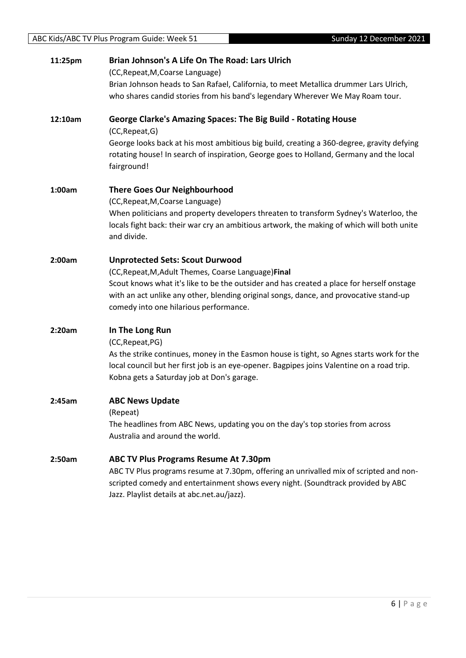| 11:25pm | Brian Johnson's A Life On The Road: Lars Ulrich                                                                                                                                                                                                                    |
|---------|--------------------------------------------------------------------------------------------------------------------------------------------------------------------------------------------------------------------------------------------------------------------|
|         | (CC, Repeat, M, Coarse Language)                                                                                                                                                                                                                                   |
|         | Brian Johnson heads to San Rafael, California, to meet Metallica drummer Lars Ulrich,<br>who shares candid stories from his band's legendary Wherever We May Roam tour.                                                                                            |
| 12:10am | <b>George Clarke's Amazing Spaces: The Big Build - Rotating House</b><br>(CC, Repeat, G)                                                                                                                                                                           |
|         | George looks back at his most ambitious big build, creating a 360-degree, gravity defying<br>rotating house! In search of inspiration, George goes to Holland, Germany and the local<br>fairground!                                                                |
| 1:00am  | <b>There Goes Our Neighbourhood</b><br>(CC, Repeat, M, Coarse Language)                                                                                                                                                                                            |
|         | When politicians and property developers threaten to transform Sydney's Waterloo, the<br>locals fight back: their war cry an ambitious artwork, the making of which will both unite<br>and divide.                                                                 |
| 2:00am  | <b>Unprotected Sets: Scout Durwood</b>                                                                                                                                                                                                                             |
|         | (CC, Repeat, M, Adult Themes, Coarse Language) Final                                                                                                                                                                                                               |
|         | Scout knows what it's like to be the outsider and has created a place for herself onstage                                                                                                                                                                          |
|         | with an act unlike any other, blending original songs, dance, and provocative stand-up                                                                                                                                                                             |
|         | comedy into one hilarious performance.                                                                                                                                                                                                                             |
| 2:20am  | In The Long Run                                                                                                                                                                                                                                                    |
|         | (CC, Repeat, PG)                                                                                                                                                                                                                                                   |
|         | As the strike continues, money in the Easmon house is tight, so Agnes starts work for the<br>local council but her first job is an eye-opener. Bagpipes joins Valentine on a road trip.<br>Kobna gets a Saturday job at Don's garage.                              |
| 2:45am  | <b>ABC News Update</b>                                                                                                                                                                                                                                             |
|         | (Repeat)                                                                                                                                                                                                                                                           |
|         | The headlines from ABC News, updating you on the day's top stories from across<br>Australia and around the world.                                                                                                                                                  |
| 2:50am  | ABC TV Plus Programs Resume At 7.30pm<br>ABC TV Plus programs resume at 7.30pm, offering an unrivalled mix of scripted and non-<br>scripted comedy and entertainment shows every night. (Soundtrack provided by ABC<br>Jazz. Playlist details at abc.net.au/jazz). |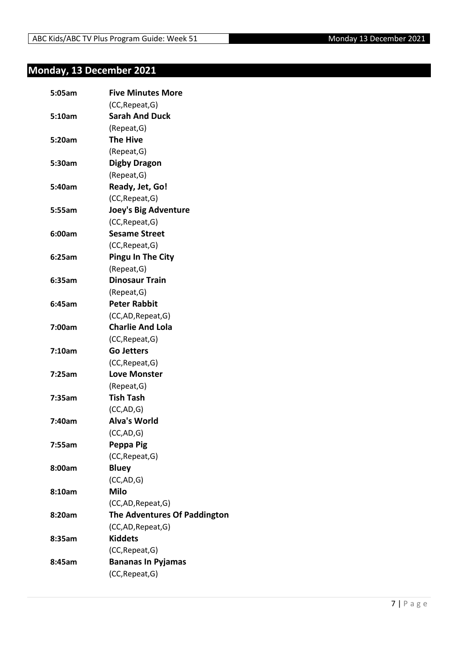## <span id="page-6-0"></span>**Monday, 13 December 2021**

| 5:05am | <b>Five Minutes More</b>     |
|--------|------------------------------|
|        | (CC, Repeat, G)              |
| 5:10am | <b>Sarah And Duck</b>        |
|        | (Repeat, G)                  |
| 5:20am | <b>The Hive</b>              |
|        | (Repeat, G)                  |
| 5:30am | <b>Digby Dragon</b>          |
|        | (Repeat, G)                  |
| 5:40am | Ready, Jet, Go!              |
|        | (CC, Repeat, G)              |
| 5:55am | <b>Joey's Big Adventure</b>  |
|        | (CC, Repeat, G)              |
| 6:00am | <b>Sesame Street</b>         |
|        | (CC, Repeat, G)              |
| 6:25am | <b>Pingu In The City</b>     |
|        | (Repeat, G)                  |
| 6:35am | <b>Dinosaur Train</b>        |
|        | (Repeat, G)                  |
| 6:45am | <b>Peter Rabbit</b>          |
|        | (CC,AD, Repeat, G)           |
| 7:00am | <b>Charlie And Lola</b>      |
|        | (CC, Repeat, G)              |
| 7:10am | <b>Go Jetters</b>            |
|        | (CC, Repeat, G)              |
| 7:25am | <b>Love Monster</b>          |
|        | (Repeat, G)                  |
| 7:35am | <b>Tish Tash</b>             |
|        | (CC, AD, G)                  |
| 7:40am | <b>Alva's World</b>          |
|        | (CC, AD, G)                  |
| 7:55am | Peppa Pig                    |
|        | (CC, Repeat, G)              |
| 8:00am | <b>Bluey</b>                 |
|        | (CC, AD, G)                  |
| 8:10am | <b>Milo</b>                  |
|        | (CC,AD, Repeat, G)           |
| 8:20am | The Adventures Of Paddington |
|        | (CC,AD, Repeat, G)           |
| 8:35am | <b>Kiddets</b>               |
|        | (CC, Repeat, G)              |
| 8:45am | <b>Bananas In Pyjamas</b>    |
|        | (CC, Repeat, G)              |
|        |                              |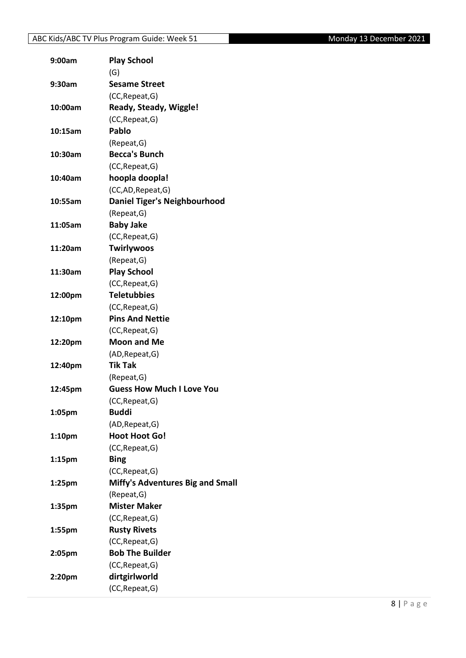## ABC Kids/ABC TV Plus Program Guide: Week 51 Monday 13 December 2021

| 9:00am             | <b>Play School</b>                        |
|--------------------|-------------------------------------------|
|                    | (G)                                       |
| 9:30am             | <b>Sesame Street</b>                      |
|                    | (CC, Repeat, G)                           |
| 10:00am            | Ready, Steady, Wiggle!                    |
|                    | (CC, Repeat, G)                           |
| 10:15am            | Pablo                                     |
|                    | (Repeat, G)                               |
| 10:30am            | <b>Becca's Bunch</b>                      |
|                    | (CC, Repeat, G)                           |
| 10:40am            | hoopla doopla!                            |
|                    | (CC,AD, Repeat, G)                        |
| 10:55am            | <b>Daniel Tiger's Neighbourhood</b>       |
|                    | (Repeat, G)                               |
| 11:05am            | <b>Baby Jake</b>                          |
|                    | (CC, Repeat, G)                           |
| 11:20am            | <b>Twirlywoos</b>                         |
|                    | (Repeat, G)                               |
| 11:30am            | <b>Play School</b>                        |
|                    | (CC, Repeat, G)                           |
| 12:00pm            | <b>Teletubbies</b>                        |
|                    | (CC, Repeat, G)                           |
| 12:10pm            | <b>Pins And Nettie</b>                    |
|                    | (CC, Repeat, G)                           |
| 12:20pm            | <b>Moon and Me</b>                        |
|                    | (AD, Repeat, G)                           |
| 12:40pm            | <b>Tik Tak</b>                            |
|                    | (Repeat, G)                               |
| 12:45pm            | <b>Guess How Much I Love You</b>          |
|                    | (CC, Repeat, G)                           |
| 1:05pm             | <b>Buddi</b>                              |
|                    | (AD, Repeat, G)                           |
| 1:10pm             | <b>Hoot Hoot Go!</b>                      |
|                    | (CC, Repeat, G)                           |
| 1:15 <sub>pm</sub> | <b>Bing</b>                               |
|                    | (CC, Repeat, G)                           |
| 1:25pm             | Miffy's Adventures Big and Small          |
|                    | (Repeat, G)                               |
| 1:35pm             | <b>Mister Maker</b>                       |
|                    | (CC, Repeat, G)                           |
|                    | <b>Rusty Rivets</b>                       |
| 1:55pm             |                                           |
|                    | (CC, Repeat, G)<br><b>Bob The Builder</b> |
| 2:05pm             |                                           |
|                    | (CC, Repeat, G)                           |
| 2:20pm             | dirtgirlworld                             |
|                    | (CC, Repeat, G)                           |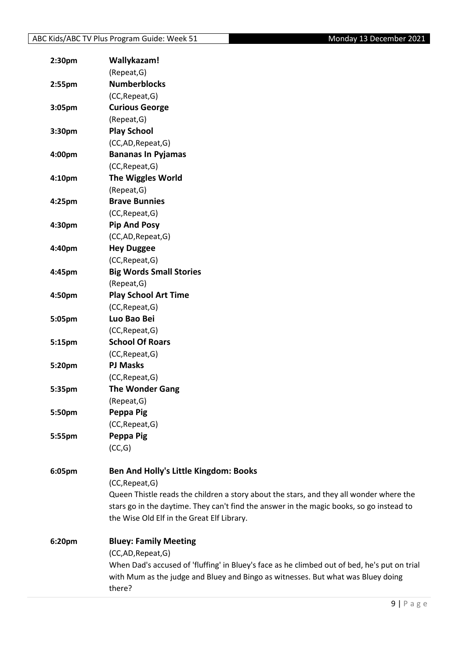| 2:30pm | Wallykazam!                                                                                  |
|--------|----------------------------------------------------------------------------------------------|
|        | (Repeat, G)                                                                                  |
| 2:55pm | <b>Numberblocks</b>                                                                          |
|        | (CC, Repeat, G)                                                                              |
| 3:05pm | <b>Curious George</b>                                                                        |
|        | (Repeat, G)                                                                                  |
| 3:30pm | <b>Play School</b>                                                                           |
|        | (CC,AD,Repeat,G)                                                                             |
| 4:00pm | <b>Bananas In Pyjamas</b>                                                                    |
|        | (CC, Repeat, G)                                                                              |
| 4:10pm | <b>The Wiggles World</b>                                                                     |
|        | (Repeat, G)                                                                                  |
| 4:25pm | <b>Brave Bunnies</b>                                                                         |
|        | (CC, Repeat, G)                                                                              |
| 4:30pm | <b>Pip And Posy</b>                                                                          |
|        | (CC,AD,Repeat,G)                                                                             |
| 4:40pm | <b>Hey Duggee</b>                                                                            |
|        | (CC, Repeat, G)                                                                              |
| 4:45pm | <b>Big Words Small Stories</b>                                                               |
|        | (Repeat, G)                                                                                  |
| 4:50pm | <b>Play School Art Time</b>                                                                  |
|        | (CC, Repeat, G)                                                                              |
| 5:05pm | Luo Bao Bei                                                                                  |
|        | (CC, Repeat, G)                                                                              |
| 5:15pm | <b>School Of Roars</b>                                                                       |
|        | (CC, Repeat, G)                                                                              |
| 5:20pm | <b>PJ Masks</b>                                                                              |
|        | (CC, Repeat, G)                                                                              |
| 5:35pm | <b>The Wonder Gang</b>                                                                       |
|        | (Repeat, G)                                                                                  |
| 5:50pm | Peppa Pig                                                                                    |
|        | (CC, Repeat, G)                                                                              |
| 5:55pm | Peppa Pig                                                                                    |
|        | (CC,G)                                                                                       |
| 6:05pm | Ben And Holly's Little Kingdom: Books                                                        |
|        | (CC, Repeat, G)                                                                              |
|        | Queen Thistle reads the children a story about the stars, and they all wonder where the      |
|        | stars go in the daytime. They can't find the answer in the magic books, so go instead to     |
|        | the Wise Old Elf in the Great Elf Library.                                                   |
|        |                                                                                              |
| 6:20pm | <b>Bluey: Family Meeting</b>                                                                 |
|        | (CC,AD,Repeat,G)                                                                             |
|        | When Dad's accused of 'fluffing' in Bluey's face as he climbed out of bed, he's put on trial |
|        | with Mum as the judge and Bluey and Bingo as witnesses. But what was Bluey doing             |
|        | there?                                                                                       |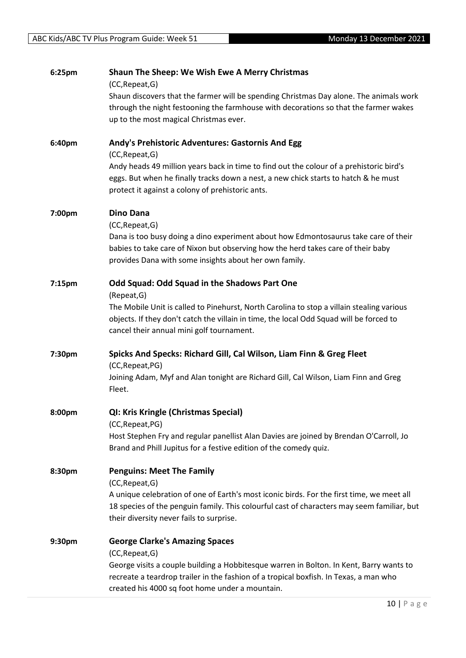| 6:25pm | Shaun The Sheep: We Wish Ewe A Merry Christmas<br>(CC, Repeat, G)                                                                                                                                                                   |
|--------|-------------------------------------------------------------------------------------------------------------------------------------------------------------------------------------------------------------------------------------|
|        | Shaun discovers that the farmer will be spending Christmas Day alone. The animals work                                                                                                                                              |
|        | through the night festooning the farmhouse with decorations so that the farmer wakes                                                                                                                                                |
|        | up to the most magical Christmas ever.                                                                                                                                                                                              |
| 6:40pm | Andy's Prehistoric Adventures: Gastornis And Egg                                                                                                                                                                                    |
|        | (CC, Repeat, G)<br>Andy heads 49 million years back in time to find out the colour of a prehistoric bird's                                                                                                                          |
|        | eggs. But when he finally tracks down a nest, a new chick starts to hatch & he must                                                                                                                                                 |
|        | protect it against a colony of prehistoric ants.                                                                                                                                                                                    |
| 7:00pm | <b>Dino Dana</b>                                                                                                                                                                                                                    |
|        | (CC, Repeat, G)                                                                                                                                                                                                                     |
|        | Dana is too busy doing a dino experiment about how Edmontosaurus take care of their<br>babies to take care of Nixon but observing how the herd takes care of their baby<br>provides Dana with some insights about her own family.   |
|        |                                                                                                                                                                                                                                     |
| 7:15pm | Odd Squad: Odd Squad in the Shadows Part One                                                                                                                                                                                        |
|        | (Repeat, G)<br>The Mobile Unit is called to Pinehurst, North Carolina to stop a villain stealing various                                                                                                                            |
|        | objects. If they don't catch the villain in time, the local Odd Squad will be forced to                                                                                                                                             |
|        | cancel their annual mini golf tournament.                                                                                                                                                                                           |
| 7:30pm | Spicks And Specks: Richard Gill, Cal Wilson, Liam Finn & Greg Fleet                                                                                                                                                                 |
|        | (CC, Repeat, PG)                                                                                                                                                                                                                    |
|        | Joining Adam, Myf and Alan tonight are Richard Gill, Cal Wilson, Liam Finn and Greg<br>Fleet.                                                                                                                                       |
| 8:00pm | <b>QI: Kris Kringle (Christmas Special)</b>                                                                                                                                                                                         |
|        | (CC, Repeat, PG)                                                                                                                                                                                                                    |
|        | Host Stephen Fry and regular panellist Alan Davies are joined by Brendan O'Carroll, Jo<br>Brand and Phill Jupitus for a festive edition of the comedy quiz.                                                                         |
| 8:30pm | <b>Penguins: Meet The Family</b>                                                                                                                                                                                                    |
|        | (CC, Repeat, G)                                                                                                                                                                                                                     |
|        | A unique celebration of one of Earth's most iconic birds. For the first time, we meet all                                                                                                                                           |
|        | 18 species of the penguin family. This colourful cast of characters may seem familiar, but<br>their diversity never fails to surprise.                                                                                              |
|        |                                                                                                                                                                                                                                     |
| 9:30pm | <b>George Clarke's Amazing Spaces</b>                                                                                                                                                                                               |
|        | (CC, Repeat, G)                                                                                                                                                                                                                     |
|        | George visits a couple building a Hobbitesque warren in Bolton. In Kent, Barry wants to<br>recreate a teardrop trailer in the fashion of a tropical boxfish. In Texas, a man who<br>created his 4000 sq foot home under a mountain. |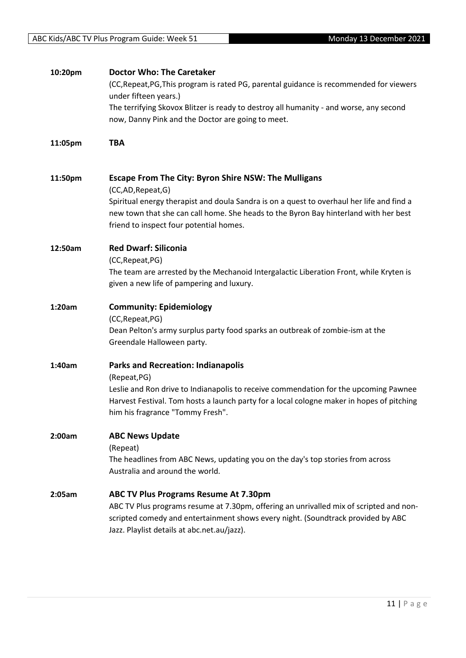| 10:20pm | <b>Doctor Who: The Caretaker</b><br>(CC, Repeat, PG, This program is rated PG, parental guidance is recommended for viewers<br>under fifteen years.)<br>The terrifying Skovox Blitzer is ready to destroy all humanity - and worse, any second<br>now, Danny Pink and the Doctor are going to meet.             |
|---------|-----------------------------------------------------------------------------------------------------------------------------------------------------------------------------------------------------------------------------------------------------------------------------------------------------------------|
| 11:05pm | TBA                                                                                                                                                                                                                                                                                                             |
| 11:50pm | <b>Escape From The City: Byron Shire NSW: The Mulligans</b><br>(CC,AD,Repeat,G)<br>Spiritual energy therapist and doula Sandra is on a quest to overhaul her life and find a<br>new town that she can call home. She heads to the Byron Bay hinterland with her best<br>friend to inspect four potential homes. |
| 12:50am | <b>Red Dwarf: Siliconia</b><br>(CC, Repeat, PG)<br>The team are arrested by the Mechanoid Intergalactic Liberation Front, while Kryten is<br>given a new life of pampering and luxury.                                                                                                                          |
| 1:20am  | <b>Community: Epidemiology</b><br>(CC, Repeat, PG)<br>Dean Pelton's army surplus party food sparks an outbreak of zombie-ism at the<br>Greendale Halloween party.                                                                                                                                               |
| 1:40am  | <b>Parks and Recreation: Indianapolis</b><br>(Repeat, PG)<br>Leslie and Ron drive to Indianapolis to receive commendation for the upcoming Pawnee<br>Harvest Festival. Tom hosts a launch party for a local cologne maker in hopes of pitching<br>him his fragrance "Tommy Fresh".                              |
| 2:00am  | <b>ABC News Update</b><br>(Repeat)<br>The headlines from ABC News, updating you on the day's top stories from across<br>Australia and around the world.                                                                                                                                                         |
| 2:05am  | <b>ABC TV Plus Programs Resume At 7.30pm</b><br>ABC TV Plus programs resume at 7.30pm, offering an unrivalled mix of scripted and non-<br>scripted comedy and entertainment shows every night. (Soundtrack provided by ABC<br>Jazz. Playlist details at abc.net.au/jazz).                                       |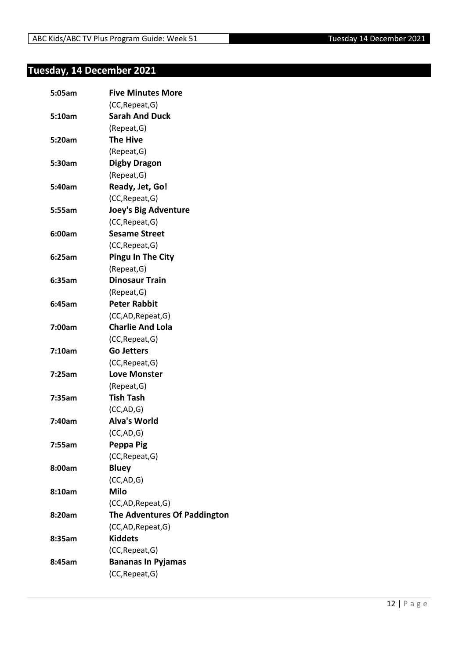## <span id="page-11-0"></span>**Tuesday, 14 December 2021**

| 5:05am | <b>Five Minutes More</b>            |
|--------|-------------------------------------|
|        | (CC, Repeat, G)                     |
| 5:10am | <b>Sarah And Duck</b>               |
|        | (Repeat, G)                         |
| 5:20am | <b>The Hive</b>                     |
|        | (Repeat, G)                         |
| 5:30am | Digby Dragon                        |
|        | (Repeat, G)                         |
| 5:40am | Ready, Jet, Go!                     |
|        | (CC, Repeat, G)                     |
| 5:55am | <b>Joey's Big Adventure</b>         |
|        | (CC, Repeat, G)                     |
| 6:00am | <b>Sesame Street</b>                |
|        | (CC, Repeat, G)                     |
| 6:25am | <b>Pingu In The City</b>            |
|        | (Repeat, G)                         |
| 6:35am | <b>Dinosaur Train</b>               |
|        | (Repeat, G)                         |
| 6:45am | <b>Peter Rabbit</b>                 |
|        | (CC,AD, Repeat, G)                  |
| 7:00am | <b>Charlie And Lola</b>             |
|        | (CC, Repeat, G)                     |
| 7:10am | <b>Go Jetters</b>                   |
|        | (CC, Repeat, G)                     |
| 7:25am | <b>Love Monster</b>                 |
|        | (Repeat, G)                         |
| 7:35am | <b>Tish Tash</b>                    |
|        | (CC, AD, G)                         |
| 7:40am | <b>Alva's World</b>                 |
|        | (CC, AD, G)                         |
| 7:55am | Peppa Pig                           |
|        | (CC, Repeat, G)                     |
| 8:00am | <b>Bluey</b>                        |
|        | (CC, AD, G)                         |
| 8:10am | <b>Milo</b>                         |
|        | (CC,AD, Repeat, G)                  |
| 8:20am | <b>The Adventures Of Paddington</b> |
|        | (CC,AD, Repeat, G)                  |
| 8:35am | <b>Kiddets</b>                      |
|        | (CC, Repeat, G)                     |
| 8:45am | <b>Bananas In Pyjamas</b>           |
|        | (CC, Repeat, G)                     |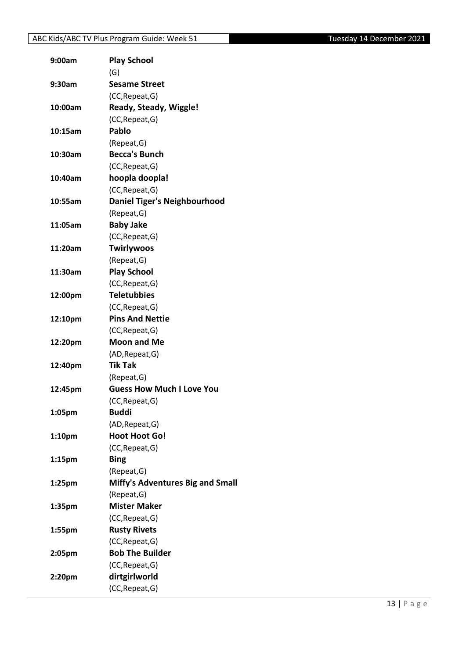## ABC Kids/ABC TV Plus Program Guide: Week 51 Tuesday 14 December 2021

| 9:00am    | <b>Play School</b>                        |
|-----------|-------------------------------------------|
|           | (G)                                       |
| 9:30am    | <b>Sesame Street</b>                      |
|           | (CC, Repeat, G)                           |
| 10:00am   | Ready, Steady, Wiggle!                    |
|           | (CC, Repeat, G)                           |
| 10:15am   | Pablo                                     |
|           | (Repeat, G)                               |
| 10:30am   | <b>Becca's Bunch</b>                      |
|           | (CC, Repeat, G)                           |
| 10:40am   | hoopla doopla!                            |
|           | (CC, Repeat, G)                           |
| 10:55am   | <b>Daniel Tiger's Neighbourhood</b>       |
|           | (Repeat, G)                               |
| 11:05am   | <b>Baby Jake</b>                          |
|           | (CC, Repeat, G)                           |
| 11:20am   | <b>Twirlywoos</b>                         |
|           | (Repeat, G)                               |
| 11:30am   | <b>Play School</b>                        |
|           | (CC, Repeat, G)                           |
| 12:00pm   | <b>Teletubbies</b>                        |
|           | (CC, Repeat, G)                           |
| 12:10pm   | <b>Pins And Nettie</b>                    |
|           | (CC, Repeat, G)                           |
| 12:20pm   | <b>Moon and Me</b>                        |
|           | (AD, Repeat, G)                           |
| 12:40pm   | <b>Tik Tak</b>                            |
|           | (Repeat, G)                               |
| 12:45pm   | <b>Guess How Much I Love You</b>          |
|           | (CC, Repeat, G)                           |
| 1:05pm    | Buddi                                     |
|           | (AD, Repeat, G)                           |
| 1:10pm    | <b>Hoot Hoot Go!</b>                      |
|           | (CC, Repeat, G)                           |
| 1:15pm    | <b>Bing</b>                               |
|           | (Repeat, G)                               |
| $1:25$ pm | Miffy's Adventures Big and Small          |
|           | (Repeat, G)                               |
| 1:35pm    | <b>Mister Maker</b>                       |
|           | (CC, Repeat, G)                           |
| 1:55pm    | <b>Rusty Rivets</b>                       |
|           |                                           |
|           | (CC, Repeat, G)<br><b>Bob The Builder</b> |
| 2:05pm    |                                           |
|           | (CC, Repeat, G)                           |
| 2:20pm    | dirtgirlworld                             |
|           | (CC, Repeat, G)                           |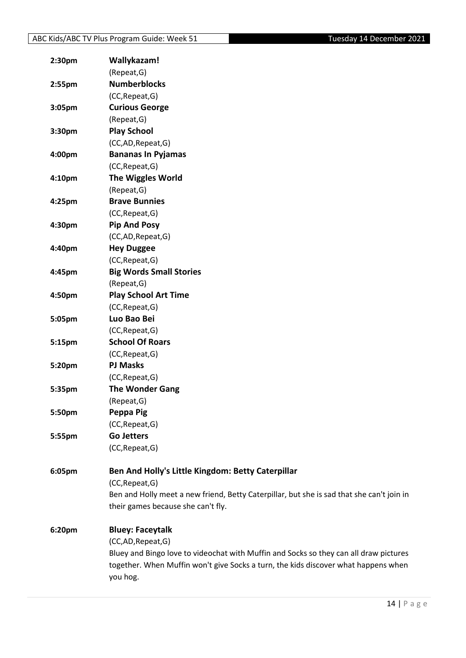| 2:30 <sub>pm</sub> | Wallykazam!                                                                               |
|--------------------|-------------------------------------------------------------------------------------------|
|                    | (Repeat, G)                                                                               |
| 2:55pm             | <b>Numberblocks</b>                                                                       |
|                    | (CC, Repeat, G)                                                                           |
| 3:05pm             | <b>Curious George</b>                                                                     |
|                    | (Repeat, G)                                                                               |
| 3:30pm             | <b>Play School</b>                                                                        |
|                    | (CC,AD,Repeat,G)                                                                          |
| 4:00pm             | <b>Bananas In Pyjamas</b>                                                                 |
|                    | (CC, Repeat, G)                                                                           |
| 4:10 <sub>pm</sub> | <b>The Wiggles World</b>                                                                  |
|                    | (Repeat, G)                                                                               |
| 4:25pm             | <b>Brave Bunnies</b>                                                                      |
|                    | (CC, Repeat, G)                                                                           |
| 4:30pm             | <b>Pip And Posy</b>                                                                       |
|                    | (CC,AD,Repeat,G)                                                                          |
| 4:40pm             | <b>Hey Duggee</b>                                                                         |
|                    | (CC, Repeat, G)                                                                           |
| 4:45pm             | <b>Big Words Small Stories</b>                                                            |
|                    | (Repeat, G)                                                                               |
| 4:50pm             | <b>Play School Art Time</b>                                                               |
|                    | (CC, Repeat, G)                                                                           |
| 5:05pm             | Luo Bao Bei                                                                               |
|                    | (CC, Repeat, G)                                                                           |
| 5:15pm             | <b>School Of Roars</b>                                                                    |
|                    | (CC, Repeat, G)                                                                           |
| 5:20pm             | <b>PJ Masks</b>                                                                           |
|                    | (CC, Repeat, G)                                                                           |
| 5:35pm             | <b>The Wonder Gang</b>                                                                    |
|                    | (Repeat, G)                                                                               |
| 5:50pm             | Peppa Pig                                                                                 |
|                    | (CC, Repeat, G)                                                                           |
| 5:55pm             | <b>Go Jetters</b>                                                                         |
|                    | (CC, Repeat, G)                                                                           |
| 6:05pm             | Ben And Holly's Little Kingdom: Betty Caterpillar                                         |
|                    | (CC, Repeat, G)                                                                           |
|                    | Ben and Holly meet a new friend, Betty Caterpillar, but she is sad that she can't join in |
|                    | their games because she can't fly.                                                        |
| 6:20pm             | <b>Bluey: Faceytalk</b>                                                                   |
|                    | (CC,AD,Repeat,G)                                                                          |
|                    | Bluey and Bingo love to videochat with Muffin and Socks so they can all draw pictures     |
|                    | together. When Muffin won't give Socks a turn, the kids discover what happens when        |
|                    | you hog.                                                                                  |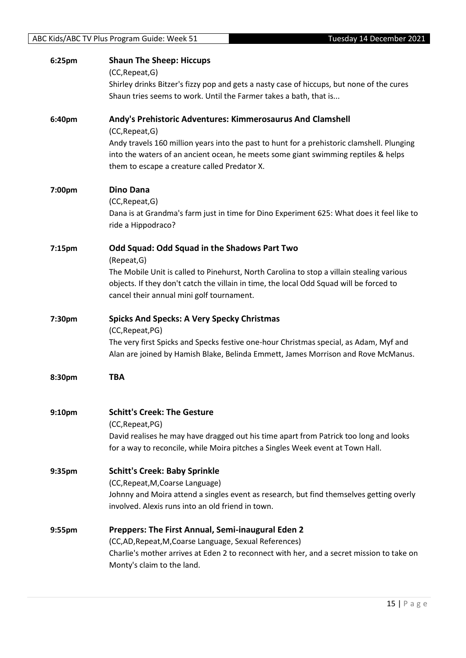| 6:25pm | <b>Shaun The Sheep: Hiccups</b><br>(CC, Repeat, G)<br>Shirley drinks Bitzer's fizzy pop and gets a nasty case of hiccups, but none of the cures<br>Shaun tries seems to work. Until the Farmer takes a bath, that is                                                                                              |
|--------|-------------------------------------------------------------------------------------------------------------------------------------------------------------------------------------------------------------------------------------------------------------------------------------------------------------------|
| 6:40pm | Andy's Prehistoric Adventures: Kimmerosaurus And Clamshell<br>(CC, Repeat, G)<br>Andy travels 160 million years into the past to hunt for a prehistoric clamshell. Plunging<br>into the waters of an ancient ocean, he meets some giant swimming reptiles & helps<br>them to escape a creature called Predator X. |
| 7:00pm | <b>Dino Dana</b><br>(CC, Repeat, G)<br>Dana is at Grandma's farm just in time for Dino Experiment 625: What does it feel like to<br>ride a Hippodraco?                                                                                                                                                            |
| 7:15pm | Odd Squad: Odd Squad in the Shadows Part Two<br>(Repeat, G)<br>The Mobile Unit is called to Pinehurst, North Carolina to stop a villain stealing various<br>objects. If they don't catch the villain in time, the local Odd Squad will be forced to<br>cancel their annual mini golf tournament.                  |
| 7:30pm | <b>Spicks And Specks: A Very Specky Christmas</b><br>(CC, Repeat, PG)<br>The very first Spicks and Specks festive one-hour Christmas special, as Adam, Myf and<br>Alan are joined by Hamish Blake, Belinda Emmett, James Morrison and Rove McManus.                                                               |
| 8:30pm | <b>TBA</b>                                                                                                                                                                                                                                                                                                        |
| 9:10pm | <b>Schitt's Creek: The Gesture</b><br>(CC, Repeat, PG)<br>David realises he may have dragged out his time apart from Patrick too long and looks<br>for a way to reconcile, while Moira pitches a Singles Week event at Town Hall.                                                                                 |
| 9:35pm | <b>Schitt's Creek: Baby Sprinkle</b><br>(CC, Repeat, M, Coarse Language)<br>Johnny and Moira attend a singles event as research, but find themselves getting overly<br>involved. Alexis runs into an old friend in town.                                                                                          |
| 9:55pm | Preppers: The First Annual, Semi-inaugural Eden 2<br>(CC,AD, Repeat, M, Coarse Language, Sexual References)<br>Charlie's mother arrives at Eden 2 to reconnect with her, and a secret mission to take on<br>Monty's claim to the land.                                                                            |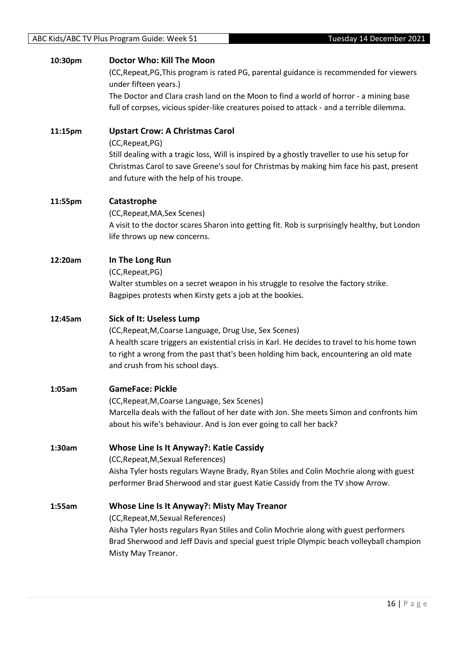#### **10:30pm Doctor Who: Kill The Moon**

(CC,Repeat,PG,This program is rated PG, parental guidance is recommended for viewers under fifteen years.)

The Doctor and Clara crash land on the Moon to find a world of horror - a mining base full of corpses, vicious spider-like creatures poised to attack - and a terrible dilemma.

**11:15pm Upstart Crow: A Christmas Carol** (CC,Repeat,PG)

Still dealing with a tragic loss, Will is inspired by a ghostly traveller to use his setup for Christmas Carol to save Greene's soul for Christmas by making him face his past, present and future with the help of his troupe.

#### **11:55pm Catastrophe**

(CC,Repeat,MA,Sex Scenes) A visit to the doctor scares Sharon into getting fit. Rob is surprisingly healthy, but London life throws up new concerns.

#### **12:20am In The Long Run**

(CC,Repeat,PG)

Walter stumbles on a secret weapon in his struggle to resolve the factory strike. Bagpipes protests when Kirsty gets a job at the bookies.

#### **12:45am Sick of It: Useless Lump**

(CC,Repeat,M,Coarse Language, Drug Use, Sex Scenes) A health scare triggers an existential crisis in Karl. He decides to travel to his home town to right a wrong from the past that's been holding him back, encountering an old mate and crush from his school days.

#### **1:05am GameFace: Pickle**

(CC,Repeat,M,Coarse Language, Sex Scenes) Marcella deals with the fallout of her date with Jon. She meets Simon and confronts him about his wife's behaviour. And is Jon ever going to call her back?

#### **1:30am Whose Line Is It Anyway?: Katie Cassidy**

(CC,Repeat,M,Sexual References) Aisha Tyler hosts regulars Wayne Brady, Ryan Stiles and Colin Mochrie along with guest performer Brad Sherwood and star guest Katie Cassidy from the TV show Arrow.

**1:55am Whose Line Is It Anyway?: Misty May Treanor**

(CC,Repeat,M,Sexual References) Aisha Tyler hosts regulars Ryan Stiles and Colin Mochrie along with guest performers Brad Sherwood and Jeff Davis and special guest triple Olympic beach volleyball champion Misty May Treanor.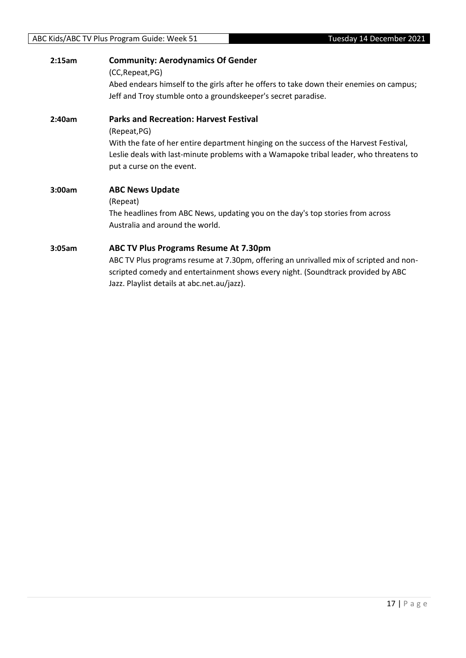| 2:15am | <b>Community: Aerodynamics Of Gender</b><br>(CC, Repeat, PG)<br>Abed endears himself to the girls after he offers to take down their enemies on campus;<br>Jeff and Troy stumble onto a groundskeeper's secret paradise.                                                       |
|--------|--------------------------------------------------------------------------------------------------------------------------------------------------------------------------------------------------------------------------------------------------------------------------------|
| 2:40am | <b>Parks and Recreation: Harvest Festival</b><br>(Repeat, PG)<br>With the fate of her entire department hinging on the success of the Harvest Festival,<br>Leslie deals with last-minute problems with a Wamapoke tribal leader, who threatens to<br>put a curse on the event. |
| 3:00am | <b>ABC News Update</b><br>(Repeat)<br>The headlines from ABC News, updating you on the day's top stories from across<br>Australia and around the world.                                                                                                                        |
| 3:05am | ABC TV Plus Programs Resume At 7.30pm<br>ABC TV Plus programs resume at 7.30pm, offering an unrivalled mix of scripted and non-<br>scripted comedy and entertainment shows every night. (Soundtrack provided by ABC<br>Jazz. Playlist details at abc.net.au/jazz).             |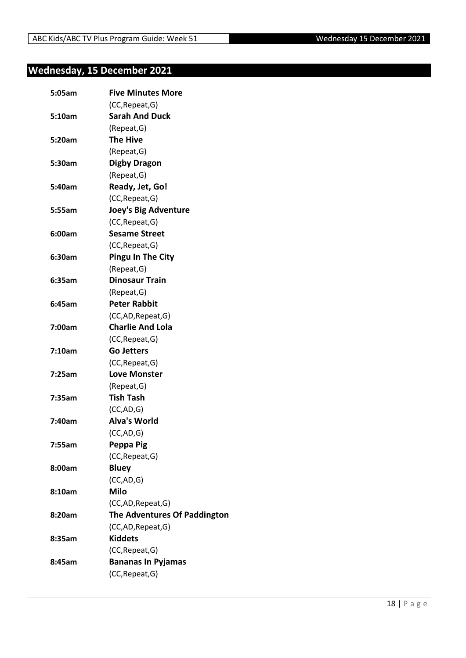## <span id="page-17-0"></span>**Wednesday, 15 December 2021**

| 5:05am | <b>Five Minutes More</b>     |
|--------|------------------------------|
|        | (CC, Repeat, G)              |
| 5:10am | <b>Sarah And Duck</b>        |
|        | (Repeat, G)                  |
| 5:20am | <b>The Hive</b>              |
|        | (Repeat, G)                  |
| 5:30am | <b>Digby Dragon</b>          |
|        | (Repeat, G)                  |
| 5:40am | Ready, Jet, Go!              |
|        | (CC, Repeat, G)              |
| 5:55am | <b>Joey's Big Adventure</b>  |
|        | (CC, Repeat, G)              |
| 6:00am | <b>Sesame Street</b>         |
|        | (CC, Repeat, G)              |
| 6:30am | <b>Pingu In The City</b>     |
|        | (Repeat, G)                  |
| 6:35am | <b>Dinosaur Train</b>        |
|        | (Repeat, G)                  |
| 6:45am | <b>Peter Rabbit</b>          |
|        | (CC,AD, Repeat, G)           |
| 7:00am | <b>Charlie And Lola</b>      |
|        | (CC, Repeat, G)              |
| 7:10am | <b>Go Jetters</b>            |
|        | (CC, Repeat, G)              |
| 7:25am | <b>Love Monster</b>          |
|        | (Repeat, G)                  |
| 7:35am | <b>Tish Tash</b>             |
|        | (CC, AD, G)                  |
| 7:40am | <b>Alva's World</b>          |
|        | (CC,AD,G)                    |
| 7:55am | Peppa Pig                    |
|        | (CC, Repeat, G)              |
| 8:00am | <b>Bluey</b>                 |
|        | (CC,AD,G)                    |
| 8:10am | <b>Milo</b>                  |
|        | (CC,AD, Repeat, G)           |
| 8:20am | The Adventures Of Paddington |
|        | (CC,AD, Repeat, G)           |
| 8:35am | <b>Kiddets</b>               |
|        | (CC, Repeat, G)              |
| 8:45am | <b>Bananas In Pyjamas</b>    |
|        | (CC, Repeat, G)              |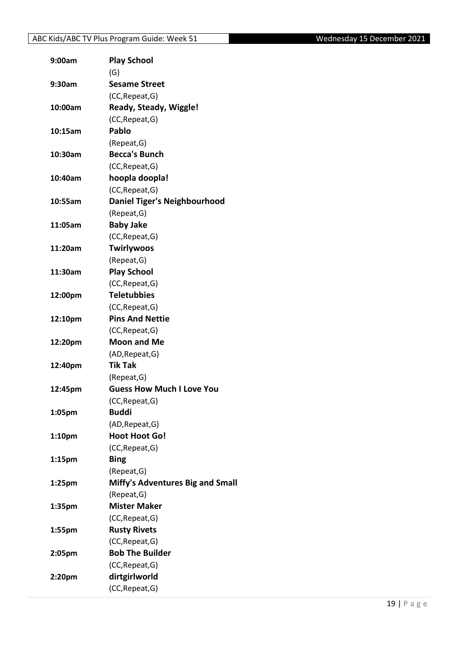| 9:00am             | <b>Play School</b>                  |
|--------------------|-------------------------------------|
|                    | (G)                                 |
| 9:30am             | <b>Sesame Street</b>                |
|                    | (CC, Repeat, G)                     |
| 10:00am            | Ready, Steady, Wiggle!              |
|                    | (CC, Repeat, G)                     |
| 10:15am            | Pablo                               |
|                    | (Repeat, G)                         |
| 10:30am            | <b>Becca's Bunch</b>                |
|                    | (CC, Repeat, G)                     |
| 10:40am            | hoopla doopla!                      |
|                    | (CC, Repeat, G)                     |
| 10:55am            | <b>Daniel Tiger's Neighbourhood</b> |
|                    | (Repeat, G)                         |
| 11:05am            | <b>Baby Jake</b>                    |
|                    | (CC, Repeat, G)                     |
| 11:20am            | <b>Twirlywoos</b>                   |
|                    | (Repeat, G)                         |
| 11:30am            | <b>Play School</b>                  |
|                    | (CC, Repeat, G)                     |
| 12:00pm            | <b>Teletubbies</b>                  |
|                    | (CC, Repeat, G)                     |
| 12:10pm            | <b>Pins And Nettie</b>              |
|                    | (CC, Repeat, G)                     |
| 12:20pm            | <b>Moon and Me</b>                  |
|                    | (AD, Repeat, G)                     |
| 12:40pm            | <b>Tik Tak</b>                      |
|                    | (Repeat, G)                         |
| 12:45pm            | <b>Guess How Much I Love You</b>    |
|                    | (CC, Repeat, G)                     |
| 1:05pm             | <b>Buddi</b>                        |
|                    |                                     |
|                    | (AD, Repeat, G)                     |
| 1:10 <sub>pm</sub> | <b>Hoot Hoot Go!</b>                |
|                    | (CC, Repeat, G)                     |
| 1:15 <sub>pm</sub> | <b>Bing</b>                         |
|                    | (Repeat, G)                         |
| 1:25pm             | Miffy's Adventures Big and Small    |
|                    | (Repeat, G)                         |
| 1:35pm             | <b>Mister Maker</b>                 |
|                    | (CC, Repeat, G)                     |
| 1:55pm             | <b>Rusty Rivets</b>                 |
|                    | (CC, Repeat, G)                     |
| 2:05pm             | <b>Bob The Builder</b>              |
|                    | (CC, Repeat, G)                     |
| 2:20pm             | dirtgirlworld                       |
|                    | (CC, Repeat, G)                     |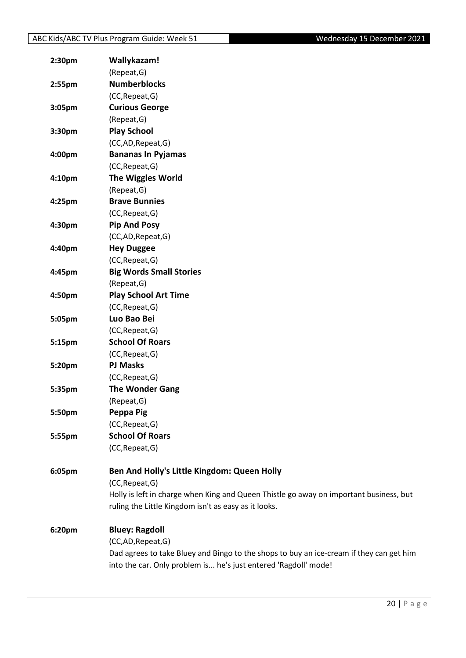| 2:30pm             | Wallykazam!                                                                             |
|--------------------|-----------------------------------------------------------------------------------------|
|                    | (Repeat, G)                                                                             |
| 2:55 <sub>pm</sub> | <b>Numberblocks</b>                                                                     |
|                    | (CC, Repeat, G)                                                                         |
| 3:05pm             | <b>Curious George</b>                                                                   |
|                    | (Repeat, G)                                                                             |
| 3:30pm             | <b>Play School</b>                                                                      |
|                    | (CC,AD,Repeat,G)                                                                        |
| 4:00pm             | <b>Bananas In Pyjamas</b>                                                               |
|                    | (CC, Repeat, G)                                                                         |
| 4:10 <sub>pm</sub> | <b>The Wiggles World</b>                                                                |
|                    | (Repeat, G)                                                                             |
| 4:25pm             | <b>Brave Bunnies</b>                                                                    |
|                    | (CC, Repeat, G)                                                                         |
| 4:30pm             | <b>Pip And Posy</b>                                                                     |
|                    | (CC,AD,Repeat,G)                                                                        |
| 4:40pm             | <b>Hey Duggee</b>                                                                       |
|                    | (CC, Repeat, G)                                                                         |
| 4:45pm             | <b>Big Words Small Stories</b>                                                          |
|                    | (Repeat, G)                                                                             |
| 4:50pm             | <b>Play School Art Time</b>                                                             |
|                    | (CC, Repeat, G)                                                                         |
| 5:05pm             | Luo Bao Bei                                                                             |
|                    | (CC, Repeat, G)                                                                         |
| 5:15pm             | <b>School Of Roars</b>                                                                  |
|                    | (CC, Repeat, G)                                                                         |
| 5:20pm             | <b>PJ Masks</b>                                                                         |
|                    | (CC, Repeat, G)                                                                         |
| 5:35pm             | <b>The Wonder Gang</b>                                                                  |
|                    | (Repeat, G)                                                                             |
| 5:50pm             | Peppa Pig                                                                               |
|                    | (CC, Repeat, G)                                                                         |
| 5:55pm             | <b>School Of Roars</b>                                                                  |
|                    | (CC, Repeat, G)                                                                         |
| 6:05pm             | Ben And Holly's Little Kingdom: Queen Holly                                             |
|                    | (CC, Repeat, G)                                                                         |
|                    | Holly is left in charge when King and Queen Thistle go away on important business, but  |
|                    | ruling the Little Kingdom isn't as easy as it looks.                                    |
| 6:20pm             | <b>Bluey: Ragdoll</b>                                                                   |
|                    | (CC,AD,Repeat,G)                                                                        |
|                    | Dad agrees to take Bluey and Bingo to the shops to buy an ice-cream if they can get him |
|                    | into the car. Only problem is he's just entered 'Ragdoll' mode!                         |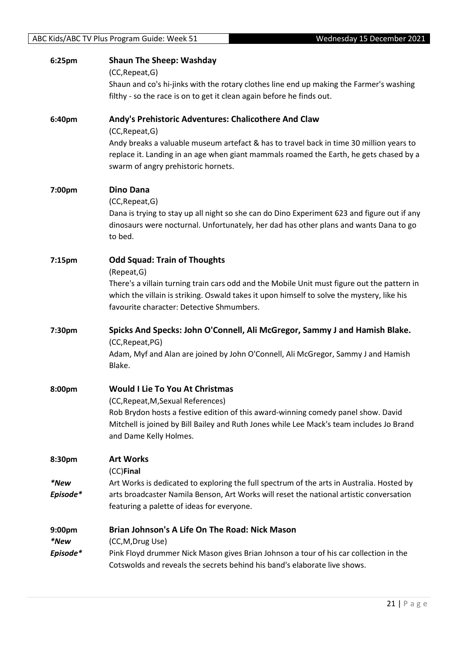| 6:25pm   | <b>Shaun The Sheep: Washday</b><br>(CC, Repeat, G)<br>Shaun and co's hi-jinks with the rotary clothes line end up making the Farmer's washing                                                                                                                |
|----------|--------------------------------------------------------------------------------------------------------------------------------------------------------------------------------------------------------------------------------------------------------------|
|          | filthy - so the race is on to get it clean again before he finds out.                                                                                                                                                                                        |
| 6:40pm   | Andy's Prehistoric Adventures: Chalicothere And Claw<br>(CC, Repeat, G)<br>Andy breaks a valuable museum artefact & has to travel back in time 30 million years to<br>replace it. Landing in an age when giant mammals roamed the Earth, he gets chased by a |
|          | swarm of angry prehistoric hornets.                                                                                                                                                                                                                          |
| 7:00pm   | <b>Dino Dana</b><br>(CC, Repeat, G)<br>Dana is trying to stay up all night so she can do Dino Experiment 623 and figure out if any<br>dinosaurs were nocturnal. Unfortunately, her dad has other plans and wants Dana to go<br>to bed.                       |
|          |                                                                                                                                                                                                                                                              |
| 7:15pm   | <b>Odd Squad: Train of Thoughts</b><br>(Repeat, G)                                                                                                                                                                                                           |
|          | There's a villain turning train cars odd and the Mobile Unit must figure out the pattern in<br>which the villain is striking. Oswald takes it upon himself to solve the mystery, like his<br>favourite character: Detective Shmumbers.                       |
| 7:30pm   | Spicks And Specks: John O'Connell, Ali McGregor, Sammy J and Hamish Blake.                                                                                                                                                                                   |
|          | (CC, Repeat, PG)<br>Adam, Myf and Alan are joined by John O'Connell, Ali McGregor, Sammy J and Hamish<br>Blake.                                                                                                                                              |
| 8:00pm   | <b>Would I Lie To You At Christmas</b>                                                                                                                                                                                                                       |
|          | (CC, Repeat, M, Sexual References)                                                                                                                                                                                                                           |
|          | Rob Brydon hosts a festive edition of this award-winning comedy panel show. David<br>Mitchell is joined by Bill Bailey and Ruth Jones while Lee Mack's team includes Jo Brand<br>and Dame Kelly Holmes.                                                      |
| 8:30pm   | <b>Art Works</b><br>(CC)Final                                                                                                                                                                                                                                |
| *New     | Art Works is dedicated to exploring the full spectrum of the arts in Australia. Hosted by                                                                                                                                                                    |
| Episode* | arts broadcaster Namila Benson, Art Works will reset the national artistic conversation<br>featuring a palette of ideas for everyone.                                                                                                                        |
| 9:00pm   | Brian Johnson's A Life On The Road: Nick Mason                                                                                                                                                                                                               |
| *New     | (CC, M, Drug Use)                                                                                                                                                                                                                                            |
| Episode* | Pink Floyd drummer Nick Mason gives Brian Johnson a tour of his car collection in the<br>Cotswolds and reveals the secrets behind his band's elaborate live shows.                                                                                           |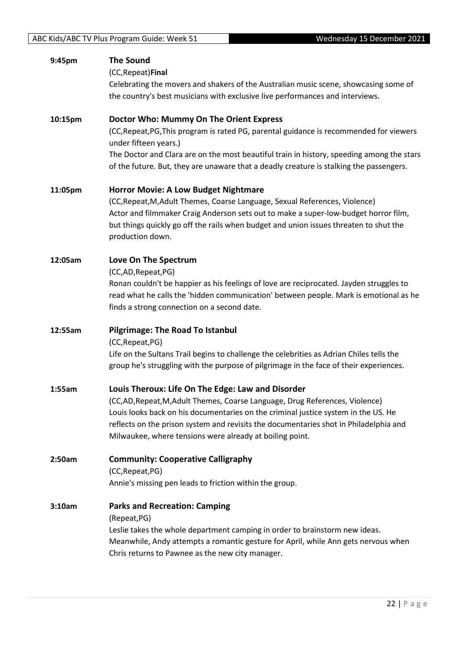| 9:45pm  | <b>The Sound</b>                                                                                                                       |
|---------|----------------------------------------------------------------------------------------------------------------------------------------|
|         | (CC, Repeat) Final                                                                                                                     |
|         | Celebrating the movers and shakers of the Australian music scene, showcasing some of                                                   |
|         | the country's best musicians with exclusive live performances and interviews.                                                          |
| 10:15pm | Doctor Who: Mummy On The Orient Express                                                                                                |
|         | (CC, Repeat, PG, This program is rated PG, parental guidance is recommended for viewers<br>under fifteen years.)                       |
|         | The Doctor and Clara are on the most beautiful train in history, speeding among the stars                                              |
|         | of the future. But, they are unaware that a deadly creature is stalking the passengers.                                                |
| 11:05pm | <b>Horror Movie: A Low Budget Nightmare</b>                                                                                            |
|         | (CC, Repeat, M, Adult Themes, Coarse Language, Sexual References, Violence)                                                            |
|         | Actor and filmmaker Craig Anderson sets out to make a super-low-budget horror film,                                                    |
|         | but things quickly go off the rails when budget and union issues threaten to shut the                                                  |
|         | production down.                                                                                                                       |
| 12:05am | Love On The Spectrum                                                                                                                   |
|         | (CC,AD,Repeat,PG)                                                                                                                      |
|         | Ronan couldn't be happier as his feelings of love are reciprocated. Jayden struggles to                                                |
|         | read what he calls the 'hidden communication' between people. Mark is emotional as he                                                  |
|         | finds a strong connection on a second date.                                                                                            |
| 12:55am | <b>Pilgrimage: The Road To Istanbul</b>                                                                                                |
|         | (CC, Repeat, PG)                                                                                                                       |
|         | Life on the Sultans Trail begins to challenge the celebrities as Adrian Chiles tells the                                               |
|         | group he's struggling with the purpose of pilgrimage in the face of their experiences.                                                 |
| 1:55am  | Louis Theroux: Life On The Edge: Law and Disorder                                                                                      |
|         | (CC,AD, Repeat, M, Adult Themes, Coarse Language, Drug References, Violence)                                                           |
|         | Louis looks back on his documentaries on the criminal justice system in the US. He                                                     |
|         | reflects on the prison system and revisits the documentaries shot in Philadelphia and                                                  |
|         | Milwaukee, where tensions were already at boiling point.                                                                               |
| 2:50am  | <b>Community: Cooperative Calligraphy</b>                                                                                              |
|         | (CC, Repeat, PG)                                                                                                                       |
|         | Annie's missing pen leads to friction within the group.                                                                                |
| 3:10am  | <b>Parks and Recreation: Camping</b>                                                                                                   |
|         | (Repeat, PG)                                                                                                                           |
|         | Leslie takes the whole department camping in order to brainstorm new ideas.                                                            |
|         | Meanwhile, Andy attempts a romantic gesture for April, while Ann gets nervous when<br>Chris returns to Pawnee as the new city manager. |
|         |                                                                                                                                        |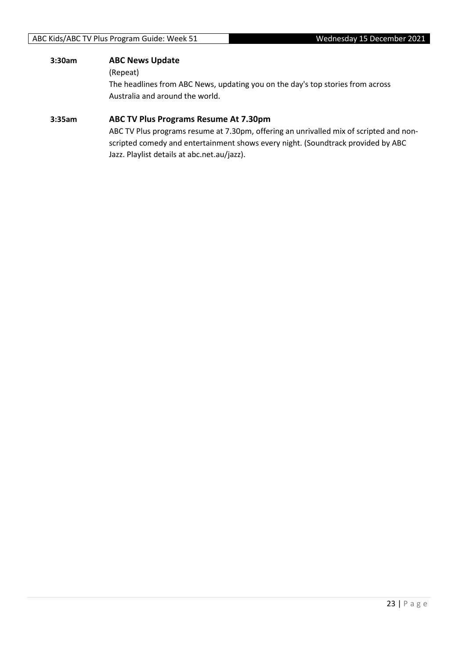## **3:30am ABC News Update**

(Repeat)

The headlines from ABC News, updating you on the day's top stories from across Australia and around the world.

### **3:35am ABC TV Plus Programs Resume At 7.30pm**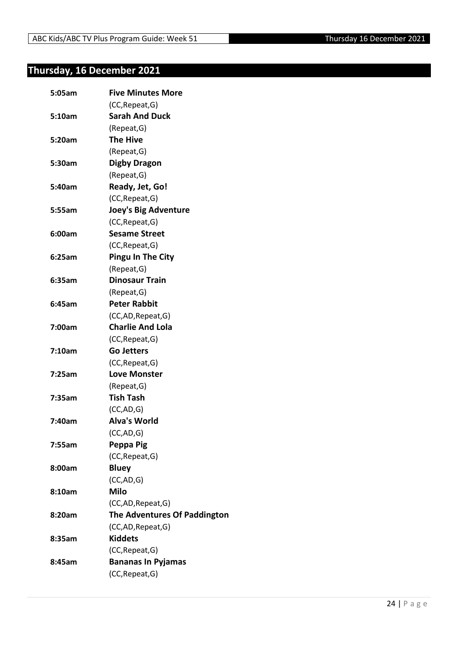## <span id="page-23-0"></span>**Thursday, 16 December 2021**

| 5:05am | <b>Five Minutes More</b>            |
|--------|-------------------------------------|
|        | (CC, Repeat, G)                     |
| 5:10am | <b>Sarah And Duck</b>               |
|        | (Repeat, G)                         |
| 5:20am | <b>The Hive</b>                     |
|        | (Repeat, G)                         |
| 5:30am | <b>Digby Dragon</b>                 |
|        | (Repeat, G)                         |
| 5:40am | Ready, Jet, Go!                     |
|        | (CC, Repeat, G)                     |
| 5:55am | <b>Joey's Big Adventure</b>         |
|        | (CC, Repeat, G)                     |
| 6:00am | <b>Sesame Street</b>                |
|        | (CC, Repeat, G)                     |
| 6:25am | <b>Pingu In The City</b>            |
|        | (Repeat, G)                         |
| 6:35am | <b>Dinosaur Train</b>               |
|        | (Repeat, G)                         |
| 6:45am | <b>Peter Rabbit</b>                 |
|        | (CC,AD, Repeat, G)                  |
| 7:00am | <b>Charlie And Lola</b>             |
|        | (CC, Repeat, G)                     |
| 7:10am | <b>Go Jetters</b>                   |
|        | (CC, Repeat, G)                     |
| 7:25am | <b>Love Monster</b>                 |
|        | (Repeat, G)                         |
| 7:35am | <b>Tish Tash</b>                    |
|        | (CC, AD, G)                         |
| 7:40am | <b>Alva's World</b>                 |
|        | (CC,AD,G)                           |
| 7:55am | Peppa Pig                           |
|        | (CC, Repeat, G)                     |
| 8:00am | <b>Bluey</b>                        |
|        | (CC, AD, G)                         |
| 8:10am | <b>Milo</b>                         |
|        | (CC,AD, Repeat, G)                  |
| 8:20am | <b>The Adventures Of Paddington</b> |
|        | (CC,AD, Repeat, G)                  |
| 8:35am | <b>Kiddets</b>                      |
|        | (CC, Repeat, G)                     |
| 8:45am | <b>Bananas In Pyjamas</b>           |
|        | (CC, Repeat, G)                     |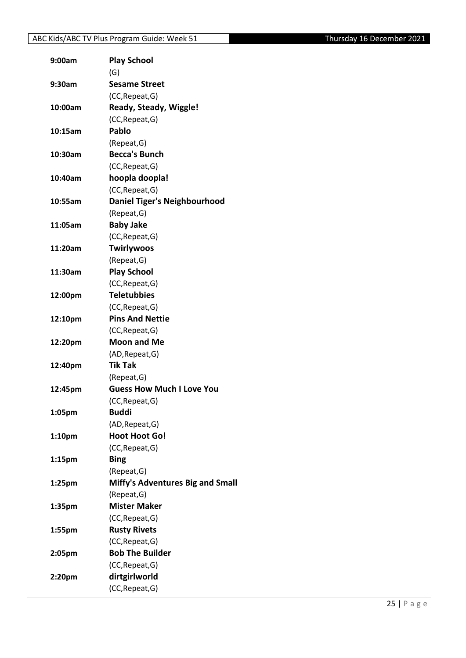## ABC Kids/ABC TV Plus Program Guide: Week 51 Thursday 16 December 2021

| 9:00am             | <b>Play School</b>                      |
|--------------------|-----------------------------------------|
|                    | (G)                                     |
| 9:30am             | <b>Sesame Street</b>                    |
|                    | (CC, Repeat, G)                         |
| 10:00am            | Ready, Steady, Wiggle!                  |
|                    | (CC, Repeat, G)                         |
| 10:15am            | Pablo                                   |
|                    | (Repeat, G)                             |
| 10:30am            | <b>Becca's Bunch</b>                    |
|                    | (CC, Repeat, G)                         |
| 10:40am            | hoopla doopla!                          |
|                    | (CC, Repeat, G)                         |
| 10:55am            | <b>Daniel Tiger's Neighbourhood</b>     |
|                    | (Repeat, G)                             |
| 11:05am            | <b>Baby Jake</b>                        |
|                    | (CC, Repeat, G)                         |
| 11:20am            | <b>Twirlywoos</b>                       |
|                    | (Repeat, G)                             |
| 11:30am            | <b>Play School</b>                      |
|                    | (CC, Repeat, G)                         |
| 12:00pm            | <b>Teletubbies</b>                      |
|                    | (CC, Repeat, G)                         |
| 12:10pm            | <b>Pins And Nettie</b>                  |
|                    | (CC, Repeat, G)                         |
| 12:20pm            | <b>Moon and Me</b>                      |
|                    | (AD, Repeat, G)                         |
| 12:40pm            | <b>Tik Tak</b>                          |
|                    | (Repeat, G)                             |
| 12:45pm            | <b>Guess How Much I Love You</b>        |
|                    | (CC, Repeat, G)                         |
| 1:05pm             | <b>Buddi</b>                            |
|                    | (AD, Repeat, G)                         |
| 1:10 <sub>pm</sub> | <b>Hoot Hoot Go!</b>                    |
|                    | (CC, Repeat, G)                         |
| 1:15 <sub>pm</sub> | <b>Bing</b>                             |
|                    | (Repeat, G)                             |
| $1:25$ pm          | <b>Miffy's Adventures Big and Small</b> |
|                    | (Repeat, G)                             |
| 1:35 <sub>pm</sub> | <b>Mister Maker</b>                     |
|                    | (CC, Repeat, G)                         |
| 1:55pm             | <b>Rusty Rivets</b>                     |
|                    | (CC, Repeat, G)                         |
| 2:05pm             | <b>Bob The Builder</b>                  |
|                    | (CC, Repeat, G)                         |
| 2:20pm             | dirtgirlworld                           |
|                    | (CC, Repeat, G)                         |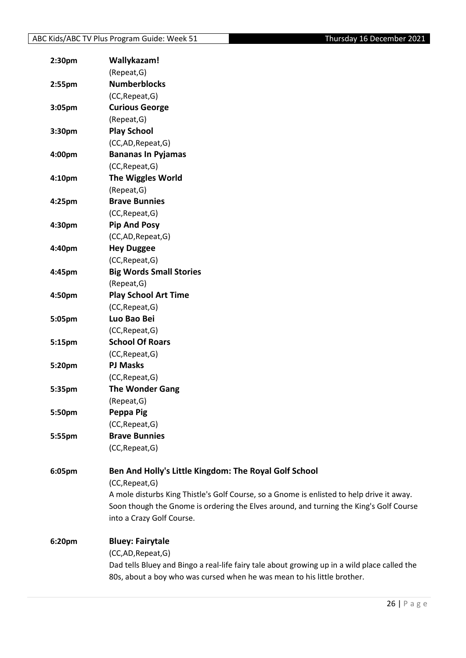| 2:30 <sub>pm</sub> | Wallykazam!                                                                                  |
|--------------------|----------------------------------------------------------------------------------------------|
|                    | (Repeat, G)                                                                                  |
| $2:55$ pm          | <b>Numberblocks</b>                                                                          |
|                    | (CC, Repeat, G)                                                                              |
| 3:05pm             | <b>Curious George</b>                                                                        |
|                    | (Repeat, G)                                                                                  |
| 3:30pm             | <b>Play School</b>                                                                           |
|                    | (CC,AD,Repeat,G)                                                                             |
| 4:00pm             | <b>Bananas In Pyjamas</b>                                                                    |
|                    | (CC, Repeat, G)                                                                              |
| 4:10pm             | <b>The Wiggles World</b>                                                                     |
|                    | (Repeat, G)                                                                                  |
| 4:25pm             | <b>Brave Bunnies</b>                                                                         |
|                    | (CC, Repeat, G)                                                                              |
| 4:30pm             | <b>Pip And Posy</b>                                                                          |
|                    | (CC,AD,Repeat,G)                                                                             |
| 4:40pm             | <b>Hey Duggee</b>                                                                            |
|                    | (CC, Repeat, G)                                                                              |
| 4:45pm             | <b>Big Words Small Stories</b>                                                               |
|                    | (Repeat, G)                                                                                  |
| 4:50pm             | <b>Play School Art Time</b>                                                                  |
|                    | (CC, Repeat, G)                                                                              |
| 5:05pm             | Luo Bao Bei                                                                                  |
|                    | (CC, Repeat, G)                                                                              |
| 5:15pm             | <b>School Of Roars</b>                                                                       |
|                    | (CC, Repeat, G)                                                                              |
| 5:20pm             | <b>PJ Masks</b>                                                                              |
|                    | (CC, Repeat, G)                                                                              |
| 5:35pm             | <b>The Wonder Gang</b>                                                                       |
|                    | (Repeat, G)                                                                                  |
| 5:50pm             | Peppa Pig                                                                                    |
|                    | (CC, Repeat, G)                                                                              |
| 5:55pm             | <b>Brave Bunnies</b>                                                                         |
|                    | (CC, Repeat, G)                                                                              |
| 6:05pm             | Ben And Holly's Little Kingdom: The Royal Golf School                                        |
|                    | (CC, Repeat, G)                                                                              |
|                    | A mole disturbs King Thistle's Golf Course, so a Gnome is enlisted to help drive it away.    |
|                    | Soon though the Gnome is ordering the Elves around, and turning the King's Golf Course       |
|                    | into a Crazy Golf Course.                                                                    |
| 6:20pm             | <b>Bluey: Fairytale</b>                                                                      |
|                    | (CC,AD,Repeat,G)                                                                             |
|                    | Dad tells Bluey and Bingo a real-life fairy tale about growing up in a wild place called the |
|                    | 80s, about a boy who was cursed when he was mean to his little brother.                      |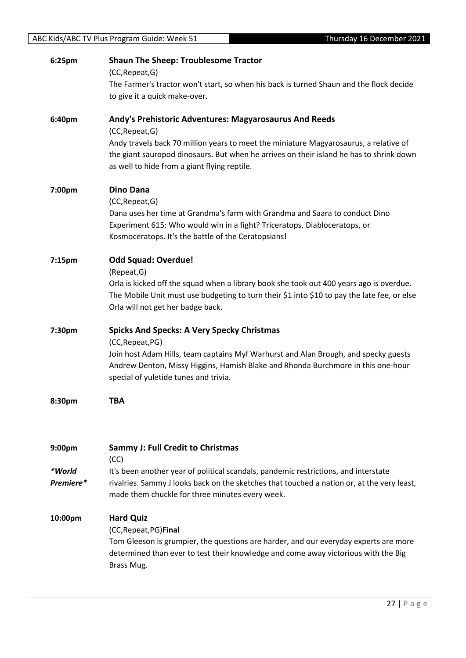| 6:25pm             | <b>Shaun The Sheep: Troublesome Tractor</b><br>(CC, Repeat, G)<br>The Farmer's tractor won't start, so when his back is turned Shaun and the flock decide                                                                        |
|--------------------|----------------------------------------------------------------------------------------------------------------------------------------------------------------------------------------------------------------------------------|
|                    | to give it a quick make-over.                                                                                                                                                                                                    |
| 6:40pm             | Andy's Prehistoric Adventures: Magyarosaurus And Reeds<br>(CC, Repeat, G)                                                                                                                                                        |
|                    | Andy travels back 70 million years to meet the miniature Magyarosaurus, a relative of<br>the giant sauropod dinosaurs. But when he arrives on their island he has to shrink down<br>as well to hide from a giant flying reptile. |
| 7:00pm             | <b>Dino Dana</b><br>(CC, Repeat, G)                                                                                                                                                                                              |
|                    | Dana uses her time at Grandma's farm with Grandma and Saara to conduct Dino<br>Experiment 615: Who would win in a fight? Triceratops, Diabloceratops, or<br>Kosmoceratops. It's the battle of the Ceratopsians!                  |
| 7:15 <sub>pm</sub> | <b>Odd Squad: Overdue!</b><br>(Repeat, G)                                                                                                                                                                                        |
|                    | Orla is kicked off the squad when a library book she took out 400 years ago is overdue.<br>The Mobile Unit must use budgeting to turn their \$1 into \$10 to pay the late fee, or else<br>Orla will not get her badge back.      |
| 7:30pm             | <b>Spicks And Specks: A Very Specky Christmas</b><br>(CC, Repeat, PG)                                                                                                                                                            |
|                    | Join host Adam Hills, team captains Myf Warhurst and Alan Brough, and specky guests<br>Andrew Denton, Missy Higgins, Hamish Blake and Rhonda Burchmore in this one-hour<br>special of yuletide tunes and trivia.                 |
| 8:30pm             | <b>TBA</b>                                                                                                                                                                                                                       |
| 9:00 <sub>pm</sub> | <b>Sammy J: Full Credit to Christmas</b><br>(CC)                                                                                                                                                                                 |
| *World             | It's been another year of political scandals, pandemic restrictions, and interstate                                                                                                                                              |
| Premiere*          | rivalries. Sammy J looks back on the sketches that touched a nation or, at the very least,<br>made them chuckle for three minutes every week.                                                                                    |
| 10:00pm            | <b>Hard Quiz</b><br>(CC, Repeat, PG) Final                                                                                                                                                                                       |
|                    | Tom Gleeson is grumpier, the questions are harder, and our everyday experts are more<br>determined than ever to test their knowledge and come away victorious with the Big<br>Brass Mug.                                         |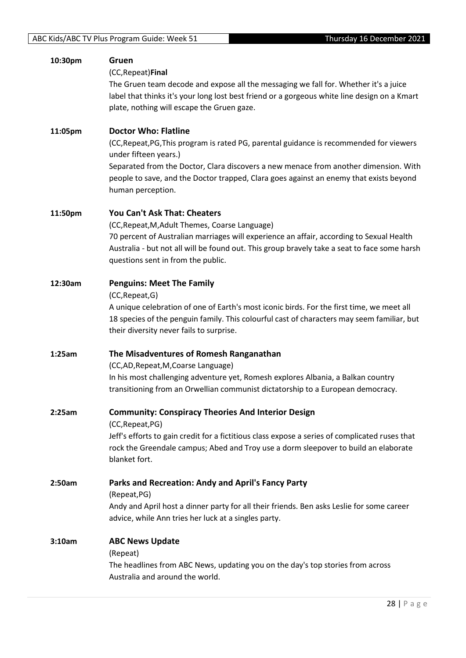| 10:30pm | Gruen                                                                                          |
|---------|------------------------------------------------------------------------------------------------|
|         | (CC, Repeat) Final                                                                             |
|         | The Gruen team decode and expose all the messaging we fall for. Whether it's a juice           |
|         | label that thinks it's your long lost best friend or a gorgeous white line design on a Kmart   |
|         | plate, nothing will escape the Gruen gaze.                                                     |
|         |                                                                                                |
| 11:05pm | <b>Doctor Who: Flatline</b>                                                                    |
|         | (CC, Repeat, PG, This program is rated PG, parental guidance is recommended for viewers        |
|         | under fifteen years.)                                                                          |
|         | Separated from the Doctor, Clara discovers a new menace from another dimension. With           |
|         | people to save, and the Doctor trapped, Clara goes against an enemy that exists beyond         |
|         | human perception.                                                                              |
|         |                                                                                                |
| 11:50pm | You Can't Ask That: Cheaters                                                                   |
|         | (CC, Repeat, M, Adult Themes, Coarse Language)                                                 |
|         | 70 percent of Australian marriages will experience an affair, according to Sexual Health       |
|         | Australia - but not all will be found out. This group bravely take a seat to face some harsh   |
|         | questions sent in from the public.                                                             |
|         |                                                                                                |
| 12:30am | <b>Penguins: Meet The Family</b>                                                               |
|         | (CC, Repeat, G)                                                                                |
|         | A unique celebration of one of Earth's most iconic birds. For the first time, we meet all      |
|         | 18 species of the penguin family. This colourful cast of characters may seem familiar, but     |
|         | their diversity never fails to surprise.                                                       |
| 1:25am  | The Misadventures of Romesh Ranganathan                                                        |
|         | (CC,AD, Repeat, M, Coarse Language)                                                            |
|         | In his most challenging adventure yet, Romesh explores Albania, a Balkan country               |
|         | transitioning from an Orwellian communist dictatorship to a European democracy.                |
|         |                                                                                                |
| 2:25am  | <b>Community: Conspiracy Theories And Interior Design</b>                                      |
|         | (CC, Repeat, PG)                                                                               |
|         | Jeff's efforts to gain credit for a fictitious class expose a series of complicated ruses that |
|         | rock the Greendale campus; Abed and Troy use a dorm sleepover to build an elaborate            |
|         | blanket fort.                                                                                  |
|         |                                                                                                |
| 2:50am  | Parks and Recreation: Andy and April's Fancy Party                                             |
|         | (Repeat, PG)                                                                                   |
|         | Andy and April host a dinner party for all their friends. Ben asks Leslie for some career      |
|         | advice, while Ann tries her luck at a singles party.                                           |
| 3:10am  | <b>ABC News Update</b>                                                                         |
|         | (Repeat)                                                                                       |
|         | The headlines from ABC News, updating you on the day's top stories from across                 |
|         | Australia and around the world.                                                                |
|         |                                                                                                |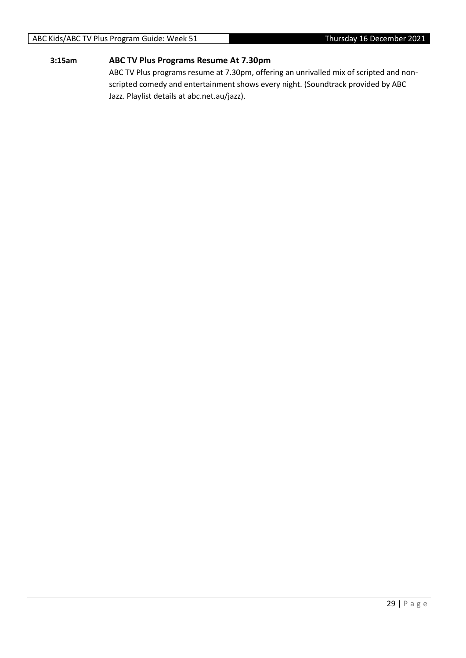## **3:15am ABC TV Plus Programs Resume At 7.30pm**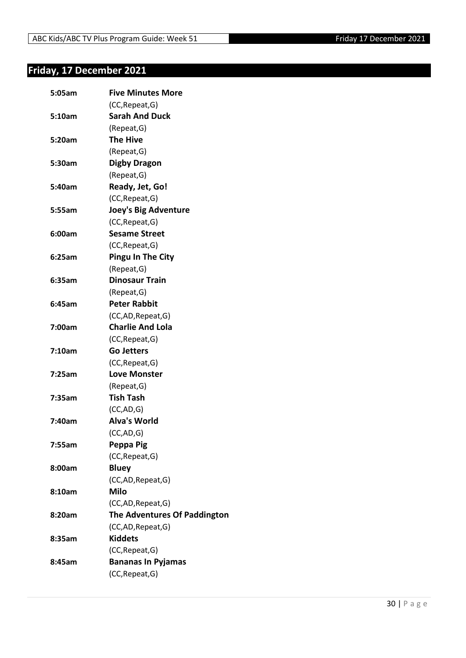## <span id="page-29-0"></span>**Friday, 17 December 2021**

| 5:05am | <b>Five Minutes More</b>            |
|--------|-------------------------------------|
|        | (CC, Repeat, G)                     |
| 5:10am | <b>Sarah And Duck</b>               |
|        | (Repeat, G)                         |
| 5:20am | <b>The Hive</b>                     |
|        | (Repeat, G)                         |
| 5:30am | <b>Digby Dragon</b>                 |
|        | (Repeat, G)                         |
| 5:40am | Ready, Jet, Go!                     |
|        | (CC, Repeat, G)                     |
| 5:55am | <b>Joey's Big Adventure</b>         |
|        | (CC, Repeat, G)                     |
| 6:00am | <b>Sesame Street</b>                |
|        | (CC, Repeat, G)                     |
| 6:25am | <b>Pingu In The City</b>            |
|        | (Repeat, G)                         |
| 6:35am | <b>Dinosaur Train</b>               |
|        | (Repeat, G)                         |
| 6:45am | <b>Peter Rabbit</b>                 |
|        | (CC,AD, Repeat, G)                  |
| 7:00am | <b>Charlie And Lola</b>             |
|        | (CC, Repeat, G)                     |
| 7:10am | <b>Go Jetters</b>                   |
|        | (CC, Repeat, G)                     |
| 7:25am | <b>Love Monster</b>                 |
|        | (Repeat, G)                         |
| 7:35am | <b>Tish Tash</b>                    |
|        | (CC, AD, G)                         |
| 7:40am | <b>Alva's World</b>                 |
|        | (CC, AD, G)                         |
| 7:55am | Peppa Pig                           |
|        | (CC, Repeat, G)                     |
| 8:00am | <b>Bluey</b>                        |
|        | (CC,AD,Repeat,G)                    |
| 8:10am | <b>Milo</b>                         |
|        | (CC,AD, Repeat, G)                  |
| 8:20am | <b>The Adventures Of Paddington</b> |
|        | (CC,AD, Repeat, G)                  |
| 8:35am | <b>Kiddets</b>                      |
|        | (CC, Repeat, G)                     |
| 8:45am | <b>Bananas In Pyjamas</b>           |
|        | (CC, Repeat, G)                     |
|        |                                     |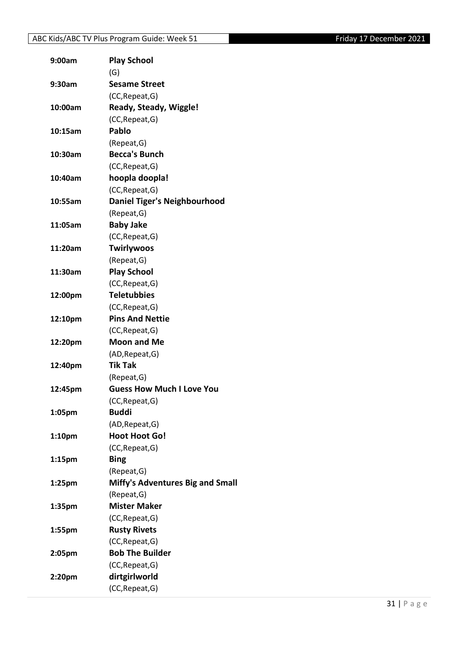## ABC Kids/ABC TV Plus Program Guide: Week 51 Friday 17 December 2021

| 9:00am             | <b>Play School</b>                  |
|--------------------|-------------------------------------|
|                    | (G)                                 |
| 9:30am             | <b>Sesame Street</b>                |
|                    | (CC, Repeat, G)                     |
| 10:00am            | <b>Ready, Steady, Wiggle!</b>       |
|                    | (CC, Repeat, G)                     |
| 10:15am            | Pablo                               |
|                    | (Repeat, G)                         |
| 10:30am            | <b>Becca's Bunch</b>                |
|                    | (CC, Repeat, G)                     |
| 10:40am            | hoopla doopla!                      |
|                    | (CC, Repeat, G)                     |
| 10:55am            | <b>Daniel Tiger's Neighbourhood</b> |
|                    | (Repeat, G)                         |
| 11:05am            | <b>Baby Jake</b>                    |
|                    | (CC, Repeat, G)                     |
| 11:20am            | <b>Twirlywoos</b>                   |
|                    | (Repeat, G)                         |
| 11:30am            | <b>Play School</b>                  |
|                    | (CC, Repeat, G)                     |
| 12:00pm            | <b>Teletubbies</b>                  |
|                    | (CC, Repeat, G)                     |
| 12:10pm            | <b>Pins And Nettie</b>              |
|                    | (CC, Repeat, G)                     |
| 12:20pm            | <b>Moon and Me</b>                  |
|                    | (AD, Repeat, G)                     |
| 12:40pm            | <b>Tik Tak</b>                      |
|                    | (Repeat,G)                          |
| 12:45pm            | <b>Guess How Much I Love You</b>    |
|                    | (CC, Repeat, G)                     |
| 1:05pm             | <b>Buddi</b>                        |
|                    | (AD, Repeat, G)                     |
| 1:10 <sub>pm</sub> | <b>Hoot Hoot Go!</b>                |
|                    | (CC, Repeat, G)                     |
| 1:15 <sub>pm</sub> | <b>Bing</b>                         |
|                    | (Repeat, G)                         |
| $1:25$ pm          | Miffy's Adventures Big and Small    |
|                    | (Repeat, G)                         |
| 1:35 <sub>pm</sub> | <b>Mister Maker</b>                 |
|                    | (CC, Repeat, G)                     |
| 1:55pm             | <b>Rusty Rivets</b>                 |
|                    | (CC, Repeat, G)                     |
| 2:05pm             | <b>Bob The Builder</b>              |
|                    | (CC, Repeat, G)                     |
| 2:20pm             | dirtgirlworld                       |
|                    | (CC, Repeat, G)                     |
|                    |                                     |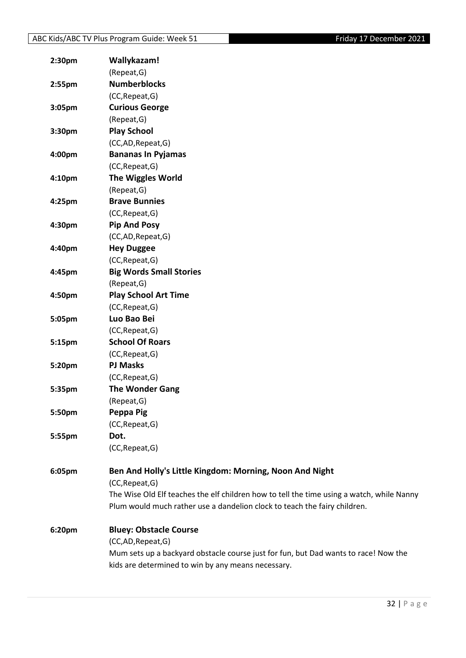| 2:30 <sub>pm</sub> | Wallykazam!                                                                               |
|--------------------|-------------------------------------------------------------------------------------------|
|                    | (Repeat, G)                                                                               |
| 2:55pm             | <b>Numberblocks</b>                                                                       |
|                    | (CC, Repeat, G)                                                                           |
| 3:05pm             | <b>Curious George</b>                                                                     |
|                    | (Repeat, G)                                                                               |
| 3:30pm             | <b>Play School</b>                                                                        |
|                    | (CC,AD,Repeat,G)                                                                          |
| 4:00pm             | <b>Bananas In Pyjamas</b>                                                                 |
|                    | (CC, Repeat, G)                                                                           |
| 4:10pm             | <b>The Wiggles World</b>                                                                  |
|                    | (Repeat, G)                                                                               |
| 4:25pm             | <b>Brave Bunnies</b>                                                                      |
|                    | (CC, Repeat, G)                                                                           |
| 4:30pm             | <b>Pip And Posy</b>                                                                       |
|                    | (CC,AD,Repeat,G)                                                                          |
| 4:40pm             | <b>Hey Duggee</b>                                                                         |
|                    | (CC, Repeat, G)                                                                           |
| 4:45pm             | <b>Big Words Small Stories</b>                                                            |
|                    | (Repeat, G)                                                                               |
| 4:50pm             | <b>Play School Art Time</b>                                                               |
|                    | (CC, Repeat, G)                                                                           |
| 5:05pm             | Luo Bao Bei                                                                               |
|                    | (CC, Repeat, G)                                                                           |
| 5:15pm             | <b>School Of Roars</b>                                                                    |
|                    | (CC, Repeat, G)                                                                           |
| 5:20pm             | <b>PJ Masks</b>                                                                           |
|                    | (CC, Repeat, G)                                                                           |
| 5:35pm             | <b>The Wonder Gang</b>                                                                    |
|                    | (Repeat, G)                                                                               |
| 5:50pm             | Peppa Pig                                                                                 |
|                    | (CC, Repeat, G)                                                                           |
| 5:55pm             | Dot.                                                                                      |
|                    | (CC, Repeat, G)                                                                           |
| 6:05pm             | Ben And Holly's Little Kingdom: Morning, Noon And Night                                   |
|                    | (CC, Repeat, G)                                                                           |
|                    | The Wise Old Elf teaches the elf children how to tell the time using a watch, while Nanny |
|                    | Plum would much rather use a dandelion clock to teach the fairy children.                 |
| 6:20pm             | <b>Bluey: Obstacle Course</b>                                                             |
|                    | (CC,AD,Repeat,G)                                                                          |
|                    | Mum sets up a backyard obstacle course just for fun, but Dad wants to race! Now the       |
|                    | kids are determined to win by any means necessary.                                        |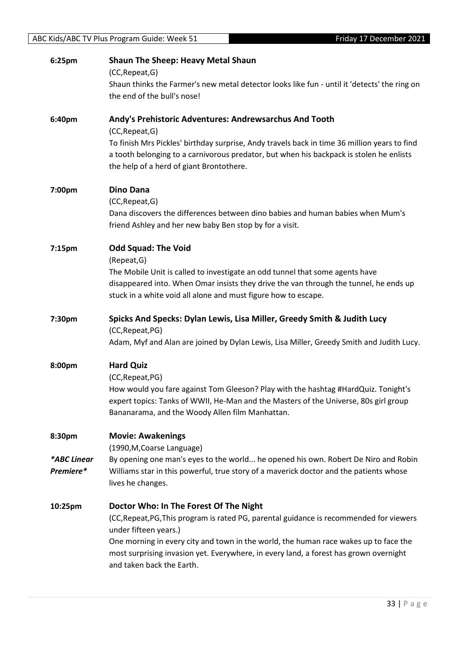| 6:25pm                             | <b>Shaun The Sheep: Heavy Metal Shaun</b><br>(CC, Repeat, G)<br>Shaun thinks the Farmer's new metal detector looks like fun - until it 'detects' the ring on<br>the end of the bull's nose!                                                                                                                                                                              |
|------------------------------------|--------------------------------------------------------------------------------------------------------------------------------------------------------------------------------------------------------------------------------------------------------------------------------------------------------------------------------------------------------------------------|
| 6:40pm                             | Andy's Prehistoric Adventures: Andrewsarchus And Tooth<br>(CC, Repeat, G)<br>To finish Mrs Pickles' birthday surprise, Andy travels back in time 36 million years to find<br>a tooth belonging to a carnivorous predator, but when his backpack is stolen he enlists<br>the help of a herd of giant Brontothere.                                                         |
| 7:00pm                             | <b>Dino Dana</b><br>(CC, Repeat, G)<br>Dana discovers the differences between dino babies and human babies when Mum's<br>friend Ashley and her new baby Ben stop by for a visit.                                                                                                                                                                                         |
| 7:15pm                             | <b>Odd Squad: The Void</b><br>(Repeat, G)<br>The Mobile Unit is called to investigate an odd tunnel that some agents have<br>disappeared into. When Omar insists they drive the van through the tunnel, he ends up<br>stuck in a white void all alone and must figure how to escape.                                                                                     |
| 7:30pm                             | Spicks And Specks: Dylan Lewis, Lisa Miller, Greedy Smith & Judith Lucy<br>(CC, Repeat, PG)<br>Adam, Myf and Alan are joined by Dylan Lewis, Lisa Miller, Greedy Smith and Judith Lucy.                                                                                                                                                                                  |
| 8:00pm                             | <b>Hard Quiz</b><br>(CC, Repeat, PG)<br>How would you fare against Tom Gleeson? Play with the hashtag #HardQuiz. Tonight's<br>expert topics: Tanks of WWII, He-Man and the Masters of the Universe, 80s girl group<br>Bananarama, and the Woody Allen film Manhattan.                                                                                                    |
| 8:30pm<br>*ABC Linear<br>Premiere* | <b>Movie: Awakenings</b><br>(1990, M, Coarse Language)<br>By opening one man's eyes to the world he opened his own. Robert De Niro and Robin<br>Williams star in this powerful, true story of a maverick doctor and the patients whose<br>lives he changes.                                                                                                              |
| 10:25pm                            | Doctor Who: In The Forest Of The Night<br>(CC, Repeat, PG, This program is rated PG, parental guidance is recommended for viewers<br>under fifteen years.)<br>One morning in every city and town in the world, the human race wakes up to face the<br>most surprising invasion yet. Everywhere, in every land, a forest has grown overnight<br>and taken back the Earth. |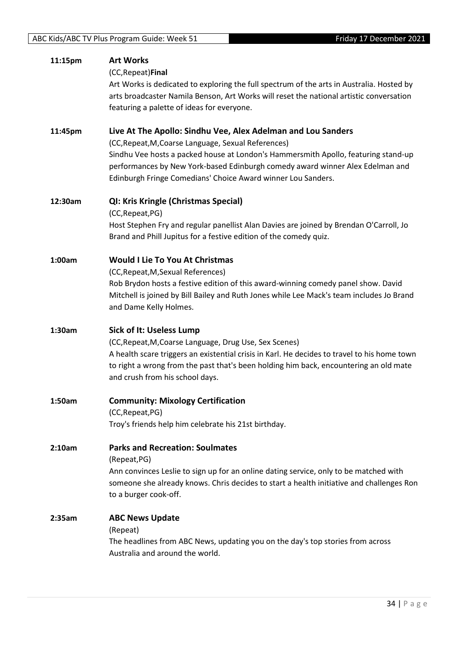| 11:15pm | <b>Art Works</b><br>(CC, Repeat) Final<br>Art Works is dedicated to exploring the full spectrum of the arts in Australia. Hosted by<br>arts broadcaster Namila Benson, Art Works will reset the national artistic conversation<br>featuring a palette of ideas for everyone.                                                                               |
|---------|------------------------------------------------------------------------------------------------------------------------------------------------------------------------------------------------------------------------------------------------------------------------------------------------------------------------------------------------------------|
| 11:45pm | Live At The Apollo: Sindhu Vee, Alex Adelman and Lou Sanders<br>(CC, Repeat, M, Coarse Language, Sexual References)<br>Sindhu Vee hosts a packed house at London's Hammersmith Apollo, featuring stand-up<br>performances by New York-based Edinburgh comedy award winner Alex Edelman and<br>Edinburgh Fringe Comedians' Choice Award winner Lou Sanders. |
| 12:30am | QI: Kris Kringle (Christmas Special)<br>(CC, Repeat, PG)<br>Host Stephen Fry and regular panellist Alan Davies are joined by Brendan O'Carroll, Jo<br>Brand and Phill Jupitus for a festive edition of the comedy quiz.                                                                                                                                    |
| 1:00am  | <b>Would I Lie To You At Christmas</b><br>(CC, Repeat, M, Sexual References)<br>Rob Brydon hosts a festive edition of this award-winning comedy panel show. David<br>Mitchell is joined by Bill Bailey and Ruth Jones while Lee Mack's team includes Jo Brand<br>and Dame Kelly Holmes.                                                                    |
| 1:30am  | Sick of It: Useless Lump<br>(CC, Repeat, M, Coarse Language, Drug Use, Sex Scenes)<br>A health scare triggers an existential crisis in Karl. He decides to travel to his home town<br>to right a wrong from the past that's been holding him back, encountering an old mate<br>and crush from his school days.                                             |
| 1:50am  | <b>Community: Mixology Certification</b><br>(CC, Repeat, PG)<br>Troy's friends help him celebrate his 21st birthday.                                                                                                                                                                                                                                       |
| 2:10am  | <b>Parks and Recreation: Soulmates</b><br>(Repeat, PG)<br>Ann convinces Leslie to sign up for an online dating service, only to be matched with<br>someone she already knows. Chris decides to start a health initiative and challenges Ron<br>to a burger cook-off.                                                                                       |
| 2:35am  | <b>ABC News Update</b><br>(Repeat)<br>The headlines from ABC News, updating you on the day's top stories from across<br>Australia and around the world.                                                                                                                                                                                                    |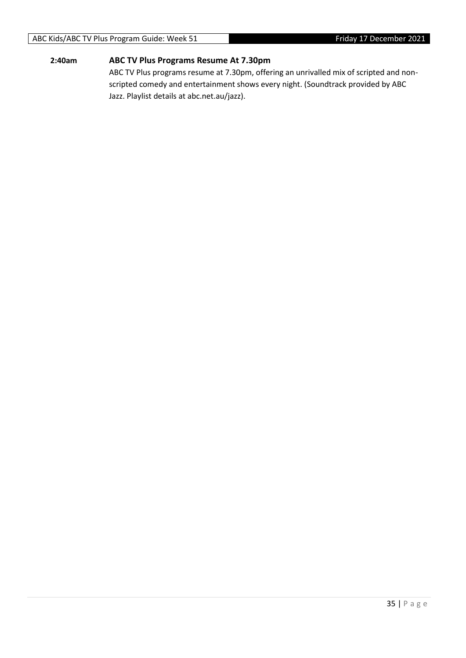## **2:40am ABC TV Plus Programs Resume At 7.30pm**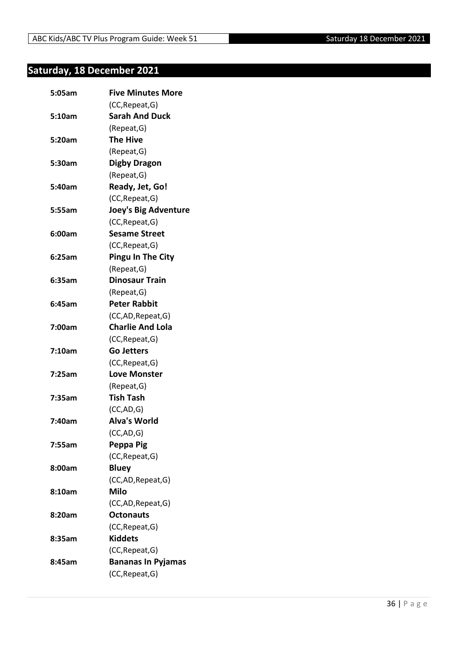## <span id="page-35-0"></span>**Saturday, 18 December 2021**

| 5:05am | <b>Five Minutes More</b>    |
|--------|-----------------------------|
|        | (CC, Repeat, G)             |
| 5:10am | <b>Sarah And Duck</b>       |
|        | (Repeat, G)                 |
| 5:20am | <b>The Hive</b>             |
|        | (Repeat, G)                 |
| 5:30am | <b>Digby Dragon</b>         |
|        | (Repeat, G)                 |
| 5:40am | Ready, Jet, Go!             |
|        | (CC, Repeat, G)             |
| 5:55am | <b>Joey's Big Adventure</b> |
|        | (CC, Repeat, G)             |
| 6:00am | <b>Sesame Street</b>        |
|        | (CC, Repeat, G)             |
| 6:25am | <b>Pingu In The City</b>    |
|        | (Repeat, G)                 |
| 6:35am | <b>Dinosaur Train</b>       |
|        | (Repeat, G)                 |
| 6:45am | <b>Peter Rabbit</b>         |
|        | (CC,AD, Repeat, G)          |
| 7:00am | <b>Charlie And Lola</b>     |
|        | (CC, Repeat, G)             |
| 7:10am | <b>Go Jetters</b>           |
|        | (CC, Repeat, G)             |
| 7:25am | <b>Love Monster</b>         |
|        | (Repeat, G)                 |
| 7:35am | <b>Tish Tash</b>            |
|        | (CC,AD,G)                   |
| 7:40am | <b>Alva's World</b>         |
|        | (CC,AD,G)                   |
| 7:55am | Peppa Pig                   |
|        | (CC, Repeat, G)             |
| 8:00am | <b>Bluey</b>                |
|        | (CC,AD, Repeat, G)          |
| 8:10am | <b>Milo</b>                 |
|        | (CC,AD, Repeat, G)          |
| 8:20am | <b>Octonauts</b>            |
|        | (CC, Repeat, G)             |
| 8:35am | <b>Kiddets</b>              |
|        | (CC, Repeat, G)             |
| 8:45am | <b>Bananas In Pyjamas</b>   |
|        | (CC, Repeat, G)             |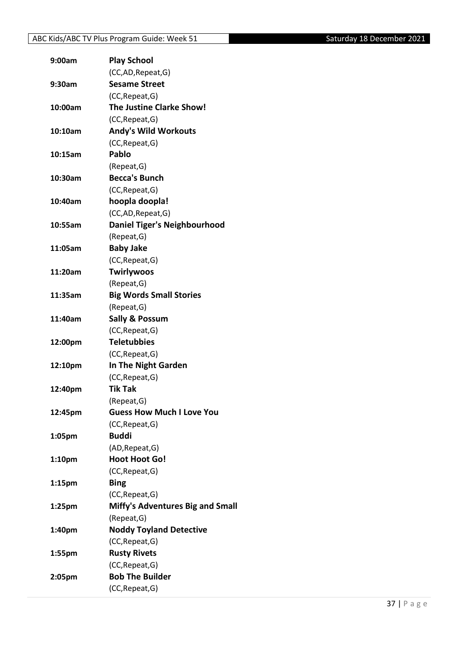| 9:00am             | <b>Play School</b>                      |
|--------------------|-----------------------------------------|
|                    | (CC,AD, Repeat, G)                      |
| 9:30am             | <b>Sesame Street</b>                    |
|                    | (CC, Repeat, G)                         |
| 10:00am            | <b>The Justine Clarke Show!</b>         |
|                    | (CC, Repeat, G)                         |
| 10:10am            | <b>Andy's Wild Workouts</b>             |
|                    | (CC, Repeat, G)                         |
| 10:15am            | <b>Pablo</b>                            |
|                    | (Repeat, G)                             |
| 10:30am            | <b>Becca's Bunch</b>                    |
|                    | (CC, Repeat, G)                         |
| 10:40am            | hoopla doopla!                          |
|                    | (CC,AD, Repeat, G)                      |
| 10:55am            | <b>Daniel Tiger's Neighbourhood</b>     |
|                    | (Repeat, G)                             |
| 11:05am            | <b>Baby Jake</b>                        |
|                    | (CC, Repeat, G)                         |
| 11:20am            | Twirlywoos                              |
|                    | (Repeat, G)                             |
| 11:35am            | <b>Big Words Small Stories</b>          |
|                    | (Repeat, G)                             |
| 11:40am            | <b>Sally &amp; Possum</b>               |
|                    | (CC, Repeat, G)                         |
| 12:00pm            | <b>Teletubbies</b>                      |
|                    | (CC, Repeat, G)                         |
| 12:10pm            | In The Night Garden                     |
|                    | (CC, Repeat, G)                         |
| 12:40pm            | <b>Tik Tak</b>                          |
|                    | (Repeat, G)                             |
| 12:45pm            | <b>Guess How Much I Love You</b>        |
|                    | (CC, Repeat, G)                         |
| 1:05pm             | <b>Buddi</b>                            |
|                    | (AD, Repeat, G)                         |
| 1:10 <sub>pm</sub> | <b>Hoot Hoot Go!</b>                    |
|                    | (CC, Repeat, G)                         |
| $1:15$ pm          | <b>Bing</b>                             |
|                    | (CC, Repeat, G)                         |
| $1:25$ pm          | <b>Miffy's Adventures Big and Small</b> |
|                    | (Repeat, G)                             |
| 1:40pm             | <b>Noddy Toyland Detective</b>          |
|                    | (CC, Repeat, G)                         |
| 1:55pm             | <b>Rusty Rivets</b>                     |
|                    | (CC, Repeat, G)                         |
| 2:05pm             | <b>Bob The Builder</b>                  |
|                    | (CC, Repeat, G)                         |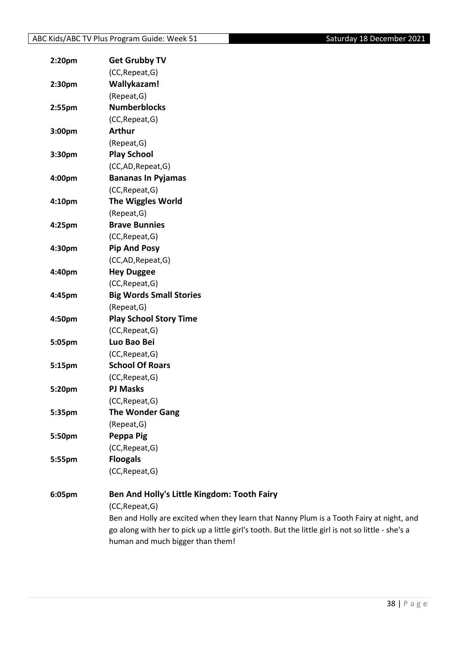| 2:20pm | <b>Get Grubby TV</b>                                               |
|--------|--------------------------------------------------------------------|
|        | (CC, Repeat, G)                                                    |
| 2:30pm | Wallykazam!                                                        |
|        | (Repeat, G)                                                        |
| 2:55pm | <b>Numberblocks</b>                                                |
|        | (CC, Repeat, G)                                                    |
| 3:00pm | <b>Arthur</b>                                                      |
|        | (Repeat, G)                                                        |
| 3:30pm | <b>Play School</b>                                                 |
|        | (CC,AD,Repeat,G)                                                   |
| 4:00pm | <b>Bananas In Pyjamas</b>                                          |
|        | (CC, Repeat, G)                                                    |
| 4:10pm | <b>The Wiggles World</b>                                           |
|        | (Repeat, G)                                                        |
| 4:25pm | <b>Brave Bunnies</b>                                               |
|        | (CC, Repeat, G)                                                    |
| 4:30pm | <b>Pip And Posy</b>                                                |
|        | (CC,AD,Repeat,G)                                                   |
| 4:40pm | <b>Hey Duggee</b>                                                  |
|        | (CC, Repeat, G)                                                    |
| 4:45pm | <b>Big Words Small Stories</b>                                     |
|        | (Repeat, G)                                                        |
| 4:50pm | <b>Play School Story Time</b>                                      |
|        | (CC, Repeat, G)                                                    |
| 5:05pm | Luo Bao Bei                                                        |
|        | (CC, Repeat, G)                                                    |
| 5:15pm | <b>School Of Roars</b>                                             |
|        | (CC, Repeat, G)                                                    |
| 5:20pm | <b>PJ Masks</b>                                                    |
|        | (CC, Repeat, G)                                                    |
| 5:35pm | <b>The Wonder Gang</b>                                             |
|        | (Repeat, G)                                                        |
| 5:50pm | Peppa Pig                                                          |
|        | (CC, Repeat, G)                                                    |
| 5:55pm | <b>Floogals</b>                                                    |
|        | (CC, Repeat, G)                                                    |
| 6:05pm | Ben And Holly's Little Kingdom: Tooth Fairy                        |
|        | (CC, Repeat, G)                                                    |
|        | Ben and Holly are excited when they learn that Nanny Plum is a Too |

bth Fairy at night, and go along with her to pick up a little girl's tooth. But the little girl is not so little - she's a human and much bigger than them!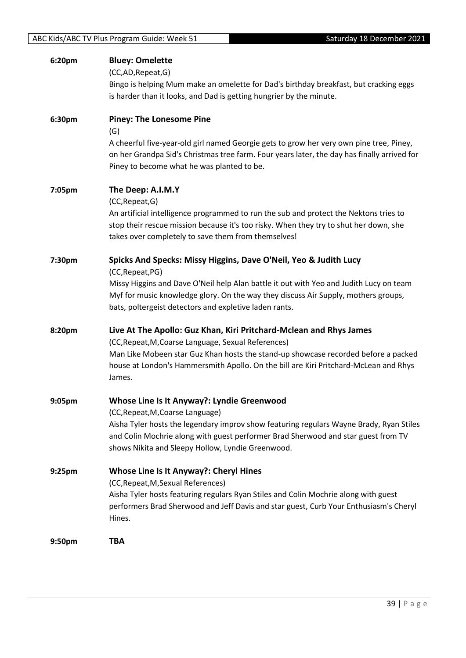| 6:20pm | <b>Bluey: Omelette</b><br>(CC,AD, Repeat, G)<br>Bingo is helping Mum make an omelette for Dad's birthday breakfast, but cracking eggs<br>is harder than it looks, and Dad is getting hungrier by the minute.                                                                                                                   |
|--------|--------------------------------------------------------------------------------------------------------------------------------------------------------------------------------------------------------------------------------------------------------------------------------------------------------------------------------|
| 6:30pm | <b>Piney: The Lonesome Pine</b><br>(G)<br>A cheerful five-year-old girl named Georgie gets to grow her very own pine tree, Piney,<br>on her Grandpa Sid's Christmas tree farm. Four years later, the day has finally arrived for<br>Piney to become what he was planted to be.                                                 |
| 7:05pm | The Deep: A.I.M.Y<br>(CC, Repeat, G)<br>An artificial intelligence programmed to run the sub and protect the Nektons tries to<br>stop their rescue mission because it's too risky. When they try to shut her down, she<br>takes over completely to save them from themselves!                                                  |
| 7:30pm | Spicks And Specks: Missy Higgins, Dave O'Neil, Yeo & Judith Lucy<br>(CC, Repeat, PG)<br>Missy Higgins and Dave O'Neil help Alan battle it out with Yeo and Judith Lucy on team<br>Myf for music knowledge glory. On the way they discuss Air Supply, mothers groups,<br>bats, poltergeist detectors and expletive laden rants. |
| 8:20pm | Live At The Apollo: Guz Khan, Kiri Pritchard-Mclean and Rhys James<br>(CC, Repeat, M, Coarse Language, Sexual References)<br>Man Like Mobeen star Guz Khan hosts the stand-up showcase recorded before a packed<br>house at London's Hammersmith Apollo. On the bill are Kiri Pritchard-McLean and Rhys<br>James.              |
| 9:05pm | <b>Whose Line Is It Anyway?: Lyndie Greenwood</b><br>(CC, Repeat, M, Coarse Language)<br>Aisha Tyler hosts the legendary improv show featuring regulars Wayne Brady, Ryan Stiles<br>and Colin Mochrie along with guest performer Brad Sherwood and star guest from TV<br>shows Nikita and Sleepy Hollow, Lyndie Greenwood.     |
| 9:25pm | <b>Whose Line Is It Anyway?: Cheryl Hines</b><br>(CC, Repeat, M, Sexual References)<br>Aisha Tyler hosts featuring regulars Ryan Stiles and Colin Mochrie along with guest<br>performers Brad Sherwood and Jeff Davis and star guest, Curb Your Enthusiasm's Cheryl<br>Hines.                                                  |
| 9:50pm | <b>TBA</b>                                                                                                                                                                                                                                                                                                                     |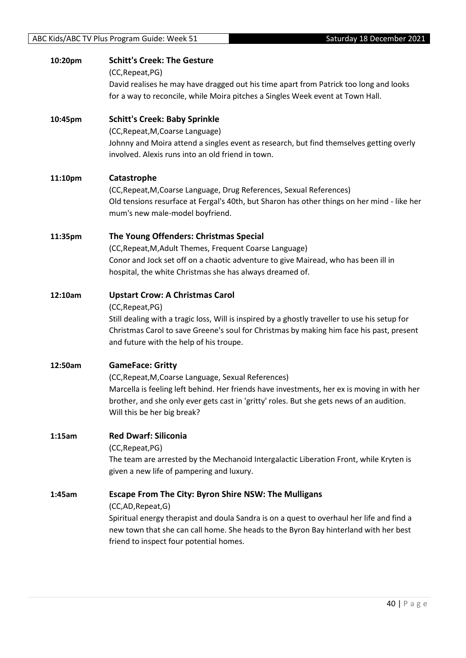| 10:20pm | <b>Schitt's Creek: The Gesture</b><br>(CC, Repeat, PG)<br>David realises he may have dragged out his time apart from Patrick too long and looks                                                                                                                                                                 |
|---------|-----------------------------------------------------------------------------------------------------------------------------------------------------------------------------------------------------------------------------------------------------------------------------------------------------------------|
|         | for a way to reconcile, while Moira pitches a Singles Week event at Town Hall.                                                                                                                                                                                                                                  |
| 10:45pm | <b>Schitt's Creek: Baby Sprinkle</b><br>(CC, Repeat, M, Coarse Language)<br>Johnny and Moira attend a singles event as research, but find themselves getting overly<br>involved. Alexis runs into an old friend in town.                                                                                        |
| 11:10pm | Catastrophe<br>(CC, Repeat, M, Coarse Language, Drug References, Sexual References)<br>Old tensions resurface at Fergal's 40th, but Sharon has other things on her mind - like her<br>mum's new male-model boyfriend.                                                                                           |
| 11:35pm | The Young Offenders: Christmas Special<br>(CC, Repeat, M, Adult Themes, Frequent Coarse Language)<br>Conor and Jock set off on a chaotic adventure to give Mairead, who has been ill in<br>hospital, the white Christmas she has always dreamed of.                                                             |
| 12:10am | <b>Upstart Crow: A Christmas Carol</b><br>(CC, Repeat, PG)<br>Still dealing with a tragic loss, Will is inspired by a ghostly traveller to use his setup for<br>Christmas Carol to save Greene's soul for Christmas by making him face his past, present<br>and future with the help of his troupe.             |
| 12:50am | <b>GameFace: Gritty</b><br>(CC, Repeat, M, Coarse Language, Sexual References)<br>Marcella is feeling left behind. Her friends have investments, her ex is moving in with her<br>brother, and she only ever gets cast in 'gritty' roles. But she gets news of an audition.<br>Will this be her big break?       |
| 1:15am  | <b>Red Dwarf: Siliconia</b><br>(CC, Repeat, PG)<br>The team are arrested by the Mechanoid Intergalactic Liberation Front, while Kryten is<br>given a new life of pampering and luxury.                                                                                                                          |
| 1:45am  | <b>Escape From The City: Byron Shire NSW: The Mulligans</b><br>(CC,AD,Repeat,G)<br>Spiritual energy therapist and doula Sandra is on a quest to overhaul her life and find a<br>new town that she can call home. She heads to the Byron Bay hinterland with her best<br>friend to inspect four potential homes. |